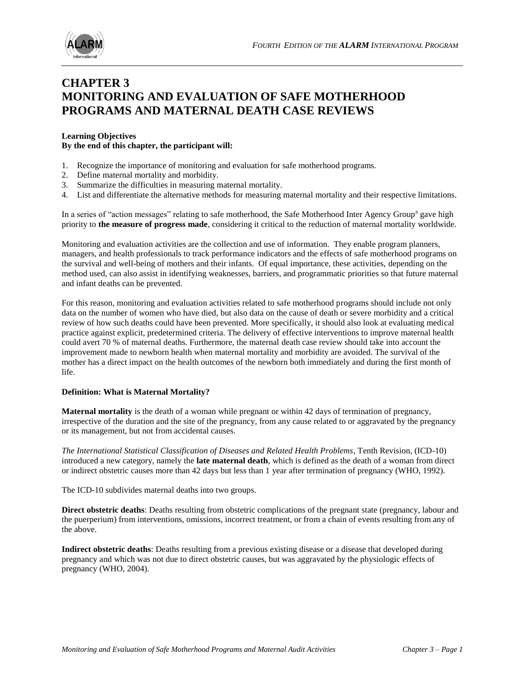

# **CHAPTER 3 MONITORING AND EVALUATION OF SAFE MOTHERHOOD PROGRAMS AND MATERNAL DEATH CASE REVIEWS**

#### **Learning Objectives By the end of this chapter, the participant will:**

- 1. Recognize the importance of monitoring and evaluation for safe motherhood programs.
- 2. Define maternal mortality and morbidity.
- 3. Summarize the difficulties in measuring maternal mortality.
- 4. List and differentiate the alternative methods for measuring maternal mortality and their respective limitations.

In a series of "action messages" relating to safe motherhood, the Safe Motherhood Inter Agency Group<sup>a</sup> gave high priority to **the measure of progress made**, considering it critical to the reduction of maternal mortality worldwide.

Monitoring and evaluation activities are the collection and use of information. They enable program planners, managers, and health professionals to track performance indicators and the effects of safe motherhood programs on the survival and well-being of mothers and their infants. Of equal importance, these activities, depending on the method used, can also assist in identifying weaknesses, barriers, and programmatic priorities so that future maternal and infant deaths can be prevented.

For this reason, monitoring and evaluation activities related to safe motherhood programs should include not only data on the number of women who have died, but also data on the cause of death or severe morbidity and a critical review of how such deaths could have been prevented. More specifically, it should also look at evaluating medical practice against explicit, predetermined criteria. The delivery of effective interventions to improve maternal health could avert 70 % of maternal deaths. Furthermore, the maternal death case review should take into account the improvement made to newborn health when maternal mortality and morbidity are avoided. The survival of the mother has a direct impact on the health outcomes of the newborn both immediately and during the first month of life.

#### **Definition: What is Maternal Mortality?**

**Maternal mortality** is the death of a woman while pregnant or within 42 days of termination of pregnancy, irrespective of the duration and the site of the pregnancy, from any cause related to or aggravated by the pregnancy or its management, but not from accidental causes.

*The International Statistical Classification of Diseases and Related Health Problems*, Tenth Revision, (ICD-10) introduced a new category, namely the **late maternal death**, which is defined as the death of a woman from direct or indirect obstetric causes more than 42 days but less than 1 year after termination of pregnancy (WHO, 1992).

The ICD-10 subdivides maternal deaths into two groups.

**Direct obstetric deaths**: Deaths resulting from obstetric complications of the pregnant state (pregnancy, labour and the puerperium) from interventions, omissions, incorrect treatment, or from a chain of events resulting from any of the above.

**Indirect obstetric deaths**: Deaths resulting from a previous existing disease or a disease that developed during pregnancy and which was not due to direct obstetric causes, but was aggravated by the physiologic effects of pregnancy (WHO, 2004).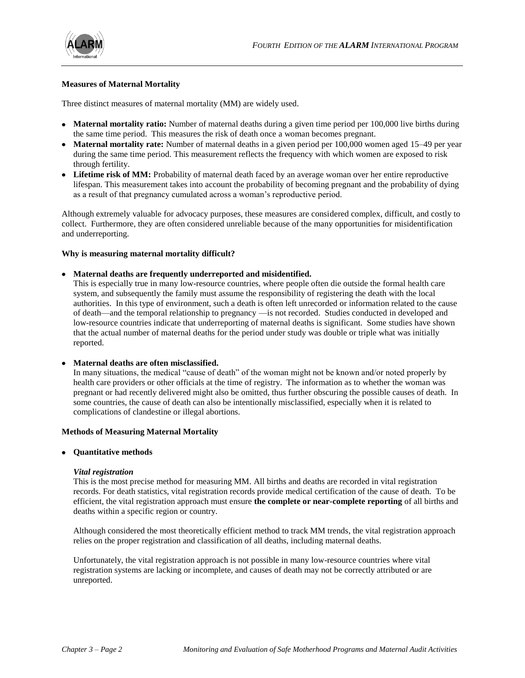

#### **Measures of Maternal Mortality**

Three distinct measures of maternal mortality (MM) are widely used.

- **Maternal mortality ratio:** Number of maternal deaths during a given time period per 100,000 live births during the same time period. This measures the risk of death once a woman becomes pregnant.
- **Maternal mortality rate:** Number of maternal deaths in a given period per 100,000 women aged 15–49 per year during the same time period. This measurement reflects the frequency with which women are exposed to risk through fertility.
- **Lifetime risk of MM:** Probability of maternal death faced by an average woman over her entire reproductive lifespan. This measurement takes into account the probability of becoming pregnant and the probability of dying as a result of that pregnancy cumulated across a woman's reproductive period.

Although extremely valuable for advocacy purposes, these measures are considered complex, difficult, and costly to collect. Furthermore, they are often considered unreliable because of the many opportunities for misidentification and underreporting.

#### **Why is measuring maternal mortality difficult?**

#### **Maternal deaths are frequently underreported and misidentified.**

This is especially true in many low-resource countries, where people often die outside the formal health care system, and subsequently the family must assume the responsibility of registering the death with the local authorities. In this type of environment, such a death is often left unrecorded or information related to the cause of death—and the temporal relationship to pregnancy —is not recorded. Studies conducted in developed and low-resource countries indicate that underreporting of maternal deaths is significant. Some studies have shown that the actual number of maternal deaths for the period under study was double or triple what was initially reported.

#### **Maternal deaths are often misclassified.**

In many situations, the medical "cause of death" of the woman might not be known and/or noted properly by health care providers or other officials at the time of registry. The information as to whether the woman was pregnant or had recently delivered might also be omitted, thus further obscuring the possible causes of death. In some countries, the cause of death can also be intentionally misclassified, especially when it is related to complications of clandestine or illegal abortions.

#### **Methods of Measuring Maternal Mortality**

#### **•** Ouantitative methods

#### *Vital registration*

This is the most precise method for measuring MM. All births and deaths are recorded in vital registration records. For death statistics, vital registration records provide medical certification of the cause of death. To be efficient, the vital registration approach must ensure **the complete or near-complete reporting** of all births and deaths within a specific region or country.

Although considered the most theoretically efficient method to track MM trends, the vital registration approach relies on the proper registration and classification of all deaths, including maternal deaths.

Unfortunately, the vital registration approach is not possible in many low-resource countries where vital registration systems are lacking or incomplete, and causes of death may not be correctly attributed or are unreported.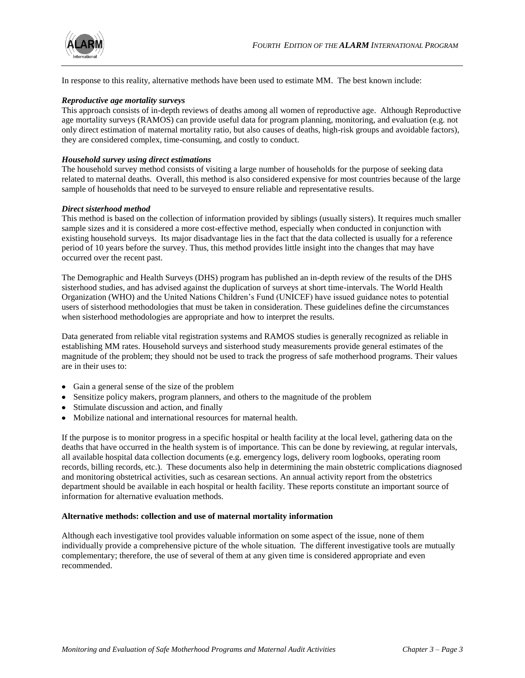

In response to this reality, alternative methods have been used to estimate MM. The best known include:

#### *Reproductive age mortality surveys*

This approach consists of in-depth reviews of deaths among all women of reproductive age. Although Reproductive age mortality surveys (RAMOS) can provide useful data for program planning, monitoring, and evaluation (e.g. not only direct estimation of maternal mortality ratio, but also causes of deaths, high-risk groups and avoidable factors), they are considered complex, time-consuming, and costly to conduct.

#### *Household survey using direct estimations*

The household survey method consists of visiting a large number of households for the purpose of seeking data related to maternal deaths. Overall, this method is also considered expensive for most countries because of the large sample of households that need to be surveyed to ensure reliable and representative results.

#### *Direct sisterhood method*

This method is based on the collection of information provided by siblings (usually sisters). It requires much smaller sample sizes and it is considered a more cost-effective method, especially when conducted in conjunction with existing household surveys. Its major disadvantage lies in the fact that the data collected is usually for a reference period of 10 years before the survey. Thus, this method provides little insight into the changes that may have occurred over the recent past.

The Demographic and Health Surveys (DHS) program has published an in-depth review of the results of the DHS sisterhood studies, and has advised against the duplication of surveys at short time-intervals. The World Health Organization (WHO) and the United Nations Children's Fund (UNICEF) have issued guidance notes to potential users of sisterhood methodologies that must be taken in consideration. These guidelines define the circumstances when sisterhood methodologies are appropriate and how to interpret the results.

Data generated from reliable vital registration systems and RAMOS studies is generally recognized as reliable in establishing MM rates. Household surveys and sisterhood study measurements provide general estimates of the magnitude of the problem; they should not be used to track the progress of safe motherhood programs. Their values are in their uses to:

- Gain a general sense of the size of the problem
- Sensitize policy makers, program planners, and others to the magnitude of the problem
- Stimulate discussion and action, and finally
- Mobilize national and international resources for maternal health.

If the purpose is to monitor progress in a specific hospital or health facility at the local level, gathering data on the deaths that have occurred in the health system is of importance. This can be done by reviewing, at regular intervals, all available hospital data collection documents (e.g. emergency logs, delivery room logbooks, operating room records, billing records, etc.). These documents also help in determining the main obstetric complications diagnosed and monitoring obstetrical activities, such as cesarean sections. An annual activity report from the obstetrics department should be available in each hospital or health facility. These reports constitute an important source of information for alternative evaluation methods.

#### **Alternative methods: collection and use of maternal mortality information**

Although each investigative tool provides valuable information on some aspect of the issue, none of them individually provide a comprehensive picture of the whole situation. The different investigative tools are mutually complementary; therefore, the use of several of them at any given time is considered appropriate and even recommended.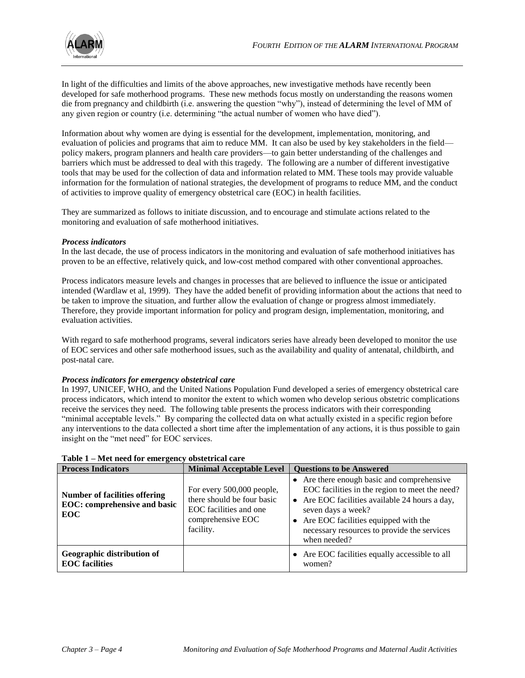

In light of the difficulties and limits of the above approaches, new investigative methods have recently been developed for safe motherhood programs. These new methods focus mostly on understanding the reasons women die from pregnancy and childbirth (i.e. answering the question "why"), instead of determining the level of MM of any given region or country (i.e. determining "the actual number of women who have died").

Information about why women are dying is essential for the development, implementation, monitoring, and evaluation of policies and programs that aim to reduce MM. It can also be used by key stakeholders in the field policy makers, program planners and health care providers—to gain better understanding of the challenges and barriers which must be addressed to deal with this tragedy. The following are a number of different investigative tools that may be used for the collection of data and information related to MM. These tools may provide valuable information for the formulation of national strategies, the development of programs to reduce MM, and the conduct of activities to improve quality of emergency obstetrical care (EOC) in health facilities.

They are summarized as follows to initiate discussion, and to encourage and stimulate actions related to the monitoring and evaluation of safe motherhood initiatives.

#### *Process indicators*

In the last decade, the use of process indicators in the monitoring and evaluation of safe motherhood initiatives has proven to be an effective, relatively quick, and low-cost method compared with other conventional approaches.

Process indicators measure levels and changes in processes that are believed to influence the issue or anticipated intended (Wardlaw et al, 1999). They have the added benefit of providing information about the actions that need to be taken to improve the situation, and further allow the evaluation of change or progress almost immediately. Therefore, they provide important information for policy and program design, implementation, monitoring, and evaluation activities.

With regard to safe motherhood programs, several indicators series have already been developed to monitor the use of EOC services and other safe motherhood issues, such as the availability and quality of antenatal, childbirth, and post-natal care.

#### *Process indicators for emergency obstetrical care*

In 1997, UNICEF, WHO, and the United Nations Population Fund developed a series of emergency obstetrical care process indicators, which intend to monitor the extent to which women who develop serious obstetric complications receive the services they need. The following table presents the process indicators with their corresponding "minimal acceptable levels." By comparing the collected data on what actually existed in a specific region before any interventions to the data collected a short time after the implementation of any actions, it is thus possible to gain insight on the "met need" for EOC services.

| <b>Process Indicators</b>                                                                 | <b>Minimal Acceptable Level</b>                                                                                     | <b>Questions to be Answered</b>                                                                                                                                                                                                                                               |
|-------------------------------------------------------------------------------------------|---------------------------------------------------------------------------------------------------------------------|-------------------------------------------------------------------------------------------------------------------------------------------------------------------------------------------------------------------------------------------------------------------------------|
| <b>Number of facilities offering</b><br><b>EOC:</b> comprehensive and basic<br><b>EOC</b> | For every 500,000 people,<br>there should be four basic<br>EOC facilities and one<br>comprehensive EOC<br>facility. | • Are there enough basic and comprehensive<br>EOC facilities in the region to meet the need?<br>• Are EOC facilities available 24 hours a day,<br>seven days a week?<br>• Are EOC facilities equipped with the<br>necessary resources to provide the services<br>when needed? |
| Geographic distribution of<br><b>EOC</b> facilities                                       |                                                                                                                     | • Are EOC facilities equally accessible to all<br>women?                                                                                                                                                                                                                      |

**Table 1 – Met need for emergency obstetrical care**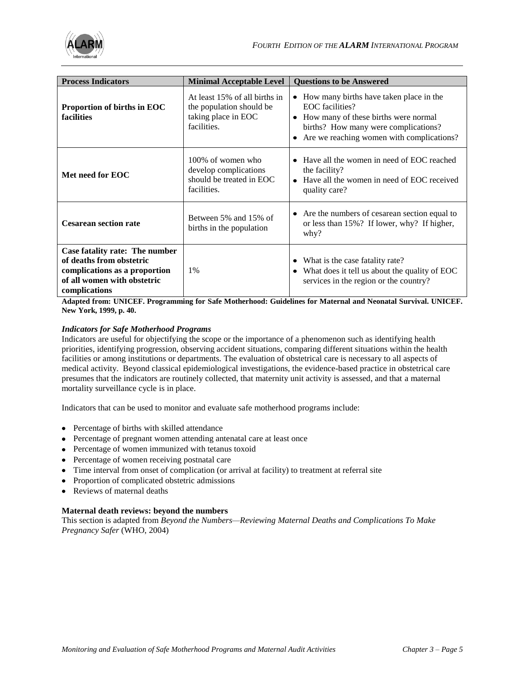

| <b>Process Indicators</b>                                                                                                                   | <b>Minimal Acceptable Level</b>                                                                 | <b>Questions to be Answered</b>                                                                                                                                                              |  |  |
|---------------------------------------------------------------------------------------------------------------------------------------------|-------------------------------------------------------------------------------------------------|----------------------------------------------------------------------------------------------------------------------------------------------------------------------------------------------|--|--|
| Proportion of births in EOC<br>facilities                                                                                                   | At least 15% of all births in<br>the population should be<br>taking place in EOC<br>facilities. | How many births have taken place in the<br>٠<br>EOC facilities?<br>How many of these births were normal<br>births? How many were complications?<br>Are we reaching women with complications? |  |  |
| Met need for EOC                                                                                                                            | 100% of women who<br>develop complications<br>should be treated in EOC<br>facilities.           | Have all the women in need of EOC reached<br>the facility?<br>Have all the women in need of EOC received<br>$\bullet$<br>quality care?                                                       |  |  |
| <b>Cesarean section rate</b>                                                                                                                | Between 5% and 15% of<br>births in the population                                               | Are the numbers of cesarean section equal to<br>٠<br>or less than 15%? If lower, why? If higher,<br>why?                                                                                     |  |  |
| Case fatality rate: The number<br>of deaths from obstetric<br>complications as a proportion<br>of all women with obstetric<br>complications | 1%                                                                                              | What is the case fatality rate?<br>What does it tell us about the quality of EOC<br>$\bullet$<br>services in the region or the country?                                                      |  |  |

**Adapted from: UNICEF. Programming for Safe Motherhood: Guidelines for Maternal and Neonatal Survival. UNICEF. New York, 1999, p. 40.**

#### *Indicators for Safe Motherhood Programs*

Indicators are useful for objectifying the scope or the importance of a phenomenon such as identifying health priorities, identifying progression, observing accident situations, comparing different situations within the health facilities or among institutions or departments. The evaluation of obstetrical care is necessary to all aspects of medical activity. Beyond classical epidemiological investigations, the evidence-based practice in obstetrical care presumes that the indicators are routinely collected, that maternity unit activity is assessed, and that a maternal mortality surveillance cycle is in place.

Indicators that can be used to monitor and evaluate safe motherhood programs include:

- Percentage of births with skilled attendance
- Percentage of pregnant women attending antenatal care at least once
- Percentage of women immunized with tetanus toxoid
- Percentage of women receiving postnatal care
- Time interval from onset of complication (or arrival at facility) to treatment at referral site
- Proportion of complicated obstetric admissions
- Reviews of maternal deaths

#### **Maternal death reviews: beyond the numbers**

This section is adapted from *Beyond the Numbers—Reviewing Maternal Deaths and Complications To Make Pregnancy Safer* (WHO, 2004)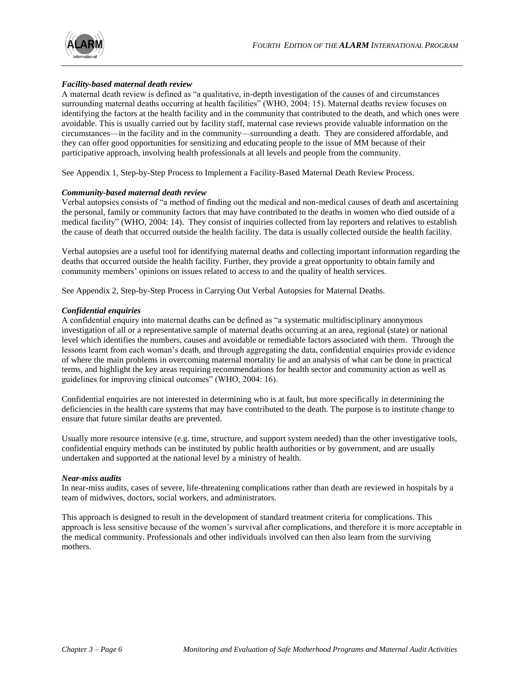

#### *Facility-based maternal death review*

A maternal death review is defined as "a qualitative, in-depth investigation of the causes of and circumstances surrounding maternal deaths occurring at health facilities" (WHO, 2004: 15). Maternal deaths review focuses on identifying the factors at the health facility and in the community that contributed to the death, and which ones were avoidable. This is usually carried out by facility staff, maternal case reviews provide valuable information on the circumstances—in the facility and in the community—surrounding a death. They are considered affordable, and they can offer good opportunities for sensitizing and educating people to the issue of MM because of their participative approach, involving health professionals at all levels and people from the community.

See Appendix 1, Step-by-Step Process to Implement a Facility-Based Maternal Death Review Process.

#### *Community-based maternal death review*

Verbal autopsies consists of "a method of finding out the medical and non-medical causes of death and ascertaining the personal, family or community factors that may have contributed to the deaths in women who died outside of a medical facility" (WHO, 2004: 14). They consist of inquiries collected from lay reporters and relatives to establish the cause of death that occurred outside the health facility. The data is usually collected outside the health facility.

Verbal autopsies are a useful tool for identifying maternal deaths and collecting important information regarding the deaths that occurred outside the health facility. Further, they provide a great opportunity to obtain family and community members' opinions on issues related to access to and the quality of health services.

See Appendix 2, Step-by-Step Process in Carrying Out Verbal Autopsies for Maternal Deaths.

#### *Confidential enquiries*

A confidential enquiry into maternal deaths can be defined as "a systematic multidisciplinary anonymous investigation of all or a representative sample of maternal deaths occurring at an area, regional (state) or national level which identifies the numbers, causes and avoidable or remediable factors associated with them. Through the lessons learnt from each woman's death, and through aggregating the data, confidential enquiries provide evidence of where the main problems in overcoming maternal mortality lie and an analysis of what can be done in practical terms, and highlight the key areas requiring recommendations for health sector and community action as well as guidelines for improving clinical outcomes" (WHO, 2004: 16).

Confidential enquiries are not interested in determining who is at fault, but more specifically in determining the deficiencies in the health care systems that may have contributed to the death. The purpose is to institute change to ensure that future similar deaths are prevented.

Usually more resource intensive (e.g. time, structure, and support system needed) than the other investigative tools, confidential enquiry methods can be instituted by public health authorities or by government, and are usually undertaken and supported at the national level by a ministry of health.

#### *Near-miss audits*

In near-miss audits, cases of severe, life-threatening complications rather than death are reviewed in hospitals by a team of midwives, doctors, social workers, and administrators.

This approach is designed to result in the development of standard treatment criteria for complications. This approach is less sensitive because of the women's survival after complications, and therefore it is more acceptable in the medical community. Professionals and other individuals involved can then also learn from the surviving mothers.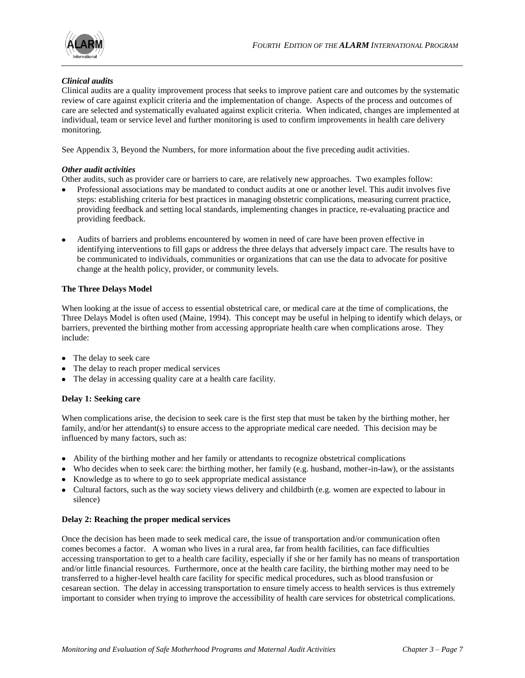

#### *Clinical audits*

Clinical audits are a quality improvement process that seeks to improve patient care and outcomes by the systematic review of care against explicit criteria and the implementation of change. Aspects of the process and outcomes of care are selected and systematically evaluated against explicit criteria. When indicated, changes are implemented at individual, team or service level and further monitoring is used to confirm improvements in health care delivery monitoring.

See Appendix 3, Beyond the Numbers, for more information about the five preceding audit activities.

#### *Other audit activities*

Other audits, such as provider care or barriers to care, are relatively new approaches. Two examples follow:

- Professional associations may be mandated to conduct audits at one or another level. This audit involves five steps: establishing criteria for best practices in managing obstetric complications, measuring current practice, providing feedback and setting local standards, implementing changes in practice, re-evaluating practice and providing feedback.
- Audits of barriers and problems encountered by women in need of care have been proven effective in identifying interventions to fill gaps or address the three delays that adversely impact care. The results have to be communicated to individuals, communities or organizations that can use the data to advocate for positive change at the health policy, provider, or community levels.

#### **The Three Delays Model**

When looking at the issue of access to essential obstetrical care, or medical care at the time of complications, the Three Delays Model is often used (Maine, 1994). This concept may be useful in helping to identify which delays, or barriers, prevented the birthing mother from accessing appropriate health care when complications arose. They include:

- The delay to seek care
- The delay to reach proper medical services
- The delay in accessing quality care at a health care facility.

#### **Delay 1: Seeking care**

When complications arise, the decision to seek care is the first step that must be taken by the birthing mother, her family, and/or her attendant(s) to ensure access to the appropriate medical care needed. This decision may be influenced by many factors, such as:

- Ability of the birthing mother and her family or attendants to recognize obstetrical complications
- Who decides when to seek care: the birthing mother, her family (e.g. husband, mother-in-law), or the assistants
- Knowledge as to where to go to seek appropriate medical assistance
- Cultural factors, such as the way society views delivery and childbirth (e.g. women are expected to labour in silence)

#### **Delay 2: Reaching the proper medical services**

Once the decision has been made to seek medical care, the issue of transportation and/or communication often comes becomes a factor. A woman who lives in a rural area, far from health facilities, can face difficulties accessing transportation to get to a health care facility, especially if she or her family has no means of transportation and/or little financial resources. Furthermore, once at the health care facility, the birthing mother may need to be transferred to a higher-level health care facility for specific medical procedures, such as blood transfusion or cesarean section. The delay in accessing transportation to ensure timely access to health services is thus extremely important to consider when trying to improve the accessibility of health care services for obstetrical complications.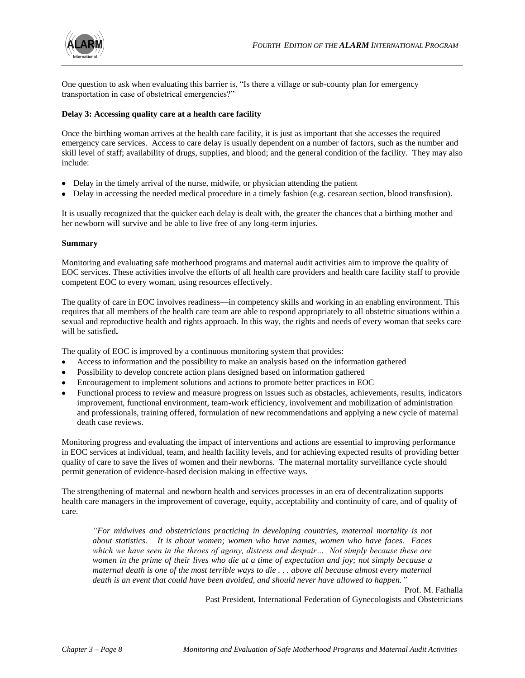

One question to ask when evaluating this barrier is, "Is there a village or sub-county plan for emergency transportation in case of obstetrical emergencies?"

#### **Delay 3: Accessing quality care at a health care facility**

Once the birthing woman arrives at the health care facility, it is just as important that she accesses the required emergency care services. Access to care delay is usually dependent on a number of factors, such as the number and skill level of staff; availability of drugs, supplies, and blood; and the general condition of the facility. They may also include:

- Delay in the timely arrival of the nurse, midwife, or physician attending the patient
- Delay in accessing the needed medical procedure in a timely fashion (e.g. cesarean section, blood transfusion).

It is usually recognized that the quicker each delay is dealt with, the greater the chances that a birthing mother and her newborn will survive and be able to live free of any long-term injuries.

#### **Summary**

Monitoring and evaluating safe motherhood programs and maternal audit activities aim to improve the quality of EOC services. These activities involve the efforts of all health care providers and health care facility staff to provide competent EOC to every woman, using resources effectively.

The quality of care in EOC involves readiness—in competency skills and working in an enabling environment. This requires that all members of the health care team are able to respond appropriately to all obstetric situations within a sexual and reproductive health and rights approach. In this way, the rights and needs of every woman that seeks care will be satisfied**.** 

The quality of EOC is improved by a continuous monitoring system that provides:

- Access to information and the possibility to make an analysis based on the information gathered
- Possibility to develop concrete action plans designed based on information gathered
- Encouragement to implement solutions and actions to promote better practices in EOC
- Functional process to review and measure progress on issues such as obstacles, achievements, results, indicators improvement, functional environment, team-work efficiency, involvement and mobilization of administration and professionals, training offered, formulation of new recommendations and applying a new cycle of maternal death case reviews.

Monitoring progress and evaluating the impact of interventions and actions are essential to improving performance in EOC services at individual, team, and health facility levels, and for achieving expected results of providing better quality of care to save the lives of women and their newborns. The maternal mortality surveillance cycle should permit generation of evidence-based decision making in effective ways.

The strengthening of maternal and newborn health and services processes in an era of decentralization supports health care managers in the improvement of coverage, equity, acceptability and continuity of care, and of quality of care.

*―For midwives and obstetricians practicing in developing countries, maternal mortality is not about statistics. It is about women; women who have names, women who have faces. Faces which we have seen in the throes of agony, distress and despair… Not simply because these are women in the prime of their lives who die at a time of expectation and joy; not simply because a maternal death is one of the most terrible ways to die . . . above all because almost every maternal*  death is an event that could have been avoided, and should never have allowed to happen."

Prof. M. Fathalla Past President, International Federation of Gynecologists and Obstetricians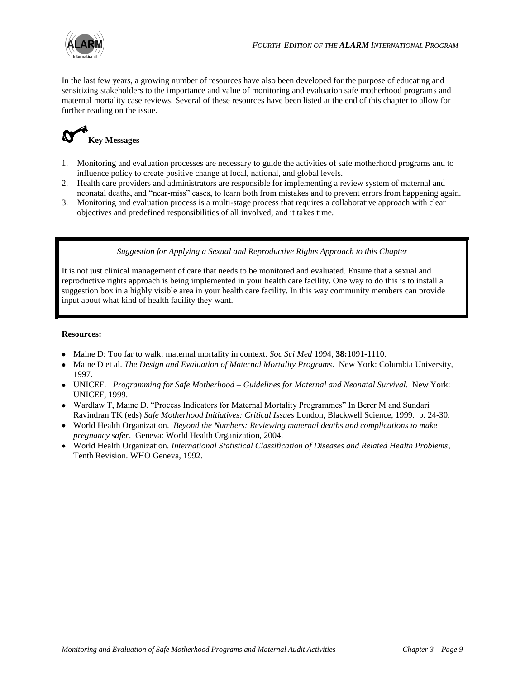

In the last few years, a growing number of resources have also been developed for the purpose of educating and sensitizing stakeholders to the importance and value of monitoring and evaluation safe motherhood programs and maternal mortality case reviews. Several of these resources have been listed at the end of this chapter to allow for further reading on the issue.

# **Key Messages**

- 1. Monitoring and evaluation processes are necessary to guide the activities of safe motherhood programs and to influence policy to create positive change at local, national, and global levels.
- 2. Health care providers and administrators are responsible for implementing a review system of maternal and neonatal deaths, and "near-miss" cases, to learn both from mistakes and to prevent errors from happening again.
- 3. Monitoring and evaluation process is a multi-stage process that requires a collaborative approach with clear objectives and predefined responsibilities of all involved, and it takes time.

#### *Suggestion for Applying a Sexual and Reproductive Rights Approach to this Chapter*

It is not just clinical management of care that needs to be monitored and evaluated. Ensure that a sexual and reproductive rights approach is being implemented in your health care facility. One way to do this is to install a suggestion box in a highly visible area in your health care facility. In this way community members can provide input about what kind of health facility they want.

#### **Resources:**

- Maine D: Too far to walk: maternal mortality in context. *Soc Sci Med* 1994, **38:**1091-1110.
- Maine D et al. *The Design and Evaluation of Maternal Mortality Programs*. New York: Columbia University, 1997.
- UNICEF. *Programming for Safe Motherhood – Guidelines for Maternal and Neonatal Survival*. New York: UNICEF, 1999.
- Wardlaw T, Maine D. "Process Indicators for Maternal Mortality Programmes" In Berer M and Sundari Ravindran TK (eds) *Safe Motherhood Initiatives: Critical Issues* London, Blackwell Science, 1999. p. 24-30.
- World Health Organization. *Beyond the Numbers: Reviewing maternal deaths and complications to make pregnancy safer*. Geneva: World Health Organization, 2004.
- World Health Organization. *International Statistical Classification of Diseases and Related Health Problems*, Tenth Revision. WHO Geneva, 1992.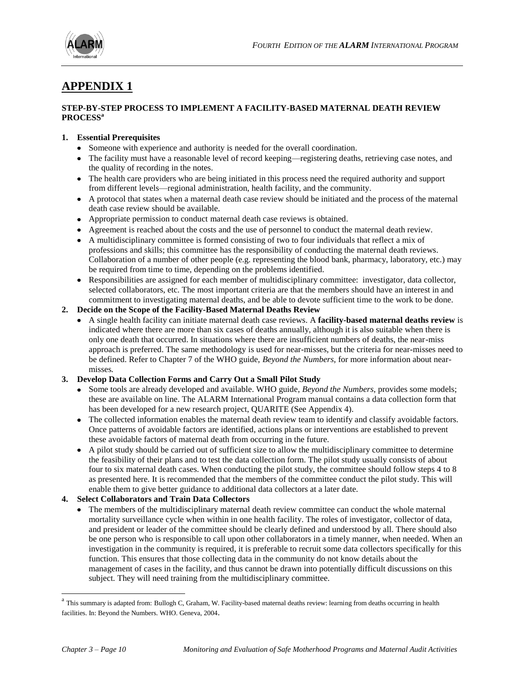

# **APPENDIX 1**

#### **STEP-BY-STEP PROCESS TO IMPLEMENT A FACILITY-BASED MATERNAL DEATH REVIEW PROCESS<sup>a</sup>**

#### **1. Essential Prerequisites**

- Someone with experience and authority is needed for the overall coordination.
- The facility must have a reasonable level of record keeping—registering deaths, retrieving case notes, and the quality of recording in the notes.
- The health care providers who are being initiated in this process need the required authority and support from different levels—regional administration, health facility, and the community.
- A protocol that states when a maternal death case review should be initiated and the process of the maternal death case review should be available.
- Appropriate permission to conduct maternal death case reviews is obtained.
- Agreement is reached about the costs and the use of personnel to conduct the maternal death review.
- A multidisciplinary committee is formed consisting of two to four individuals that reflect a mix of professions and skills; this committee has the responsibility of conducting the maternal death reviews. Collaboration of a number of other people (e.g. representing the blood bank, pharmacy, laboratory, etc.) may be required from time to time, depending on the problems identified.
- Responsibilities are assigned for each member of multidisciplinary committee: investigator, data collector, selected collaborators, etc. The most important criteria are that the members should have an interest in and commitment to investigating maternal deaths, and be able to devote sufficient time to the work to be done.

#### **2. Decide on the Scope of the Facility-Based Maternal Deaths Review**

A single health facility can initiate maternal death case reviews. A **facility-based maternal deaths review** is indicated where there are more than six cases of deaths annually, although it is also suitable when there is only one death that occurred. In situations where there are insufficient numbers of deaths, the near-miss approach is preferred. The same methodology is used for near-misses, but the criteria for near-misses need to be defined. Refer to Chapter 7 of the WHO guide, *Beyond the Numbers*, for more information about nearmisses*.*

#### **3. Develop Data Collection Forms and Carry Out a Small Pilot Study**

- Some tools are already developed and available. WHO guide, *Beyond the Numbers*, provides some models; these are available on line. The ALARM International Program manual contains a data collection form that has been developed for a new research project, QUARITE (See Appendix 4).
- The collected information enables the maternal death review team to identify and classify avoidable factors. Once patterns of avoidable factors are identified, actions plans or interventions are established to prevent these avoidable factors of maternal death from occurring in the future.
- A pilot study should be carried out of sufficient size to allow the multidisciplinary committee to determine the feasibility of their plans and to test the data collection form. The pilot study usually consists of about four to six maternal death cases. When conducting the pilot study, the committee should follow steps 4 to 8 as presented here. It is recommended that the members of the committee conduct the pilot study. This will enable them to give better guidance to additional data collectors at a later date.

#### **4. Select Collaborators and Train Data Collectors**

• The members of the multidisciplinary maternal death review committee can conduct the whole maternal mortality surveillance cycle when within in one health facility. The roles of investigator, collector of data, and president or leader of the committee should be clearly defined and understood by all. There should also be one person who is responsible to call upon other collaborators in a timely manner, when needed. When an investigation in the community is required, it is preferable to recruit some data collectors specifically for this function. This ensures that those collecting data in the community do not know details about the management of cases in the facility, and thus cannot be drawn into potentially difficult discussions on this subject. They will need training from the multidisciplinary committee.

1

<sup>&</sup>lt;sup>a</sup> This summary is adapted from: Bullogh C, Graham, W. Facility-based maternal deaths review: learning from deaths occurring in health facilities. In: Beyond the Numbers. WHO. Geneva, 2004.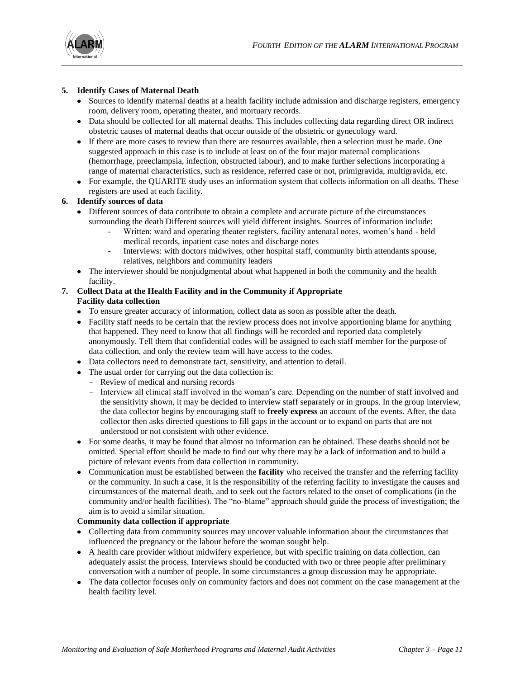

#### **5. Identify Cases of Maternal Death**

- Sources to identify maternal deaths at a health facility include admission and discharge registers, emergency room, delivery room, operating theater, and mortuary records.
- Data should be collected for all maternal deaths. This includes collecting data regarding direct OR indirect obstetric causes of maternal deaths that occur outside of the obstetric or gynecology ward.
- If there are more cases to review than there are resources available, then a selection must be made. One suggested approach in this case is to include at least on of the four major maternal complications (hemorrhage, preeclampsia, infection, obstructed labour), and to make further selections incorporating a range of maternal characteristics, such as residence, referred case or not, primigravida, multigravida, etc.
- For example, the QUARITE study uses an information system that collects information on all deaths. These registers are used at each facility.

### **6. Identify sources of data**

- Different sources of data contribute to obtain a complete and accurate picture of the circumstances surrounding the death Different sources will yield different insights. Sources of information include:
	- Written: ward and operating theater registers, facility antenatal notes, women's hand held medical records, inpatient case notes and discharge notes
	- Interviews: with doctors midwives, other hospital staff, community birth attendants spouse, relatives, neighbors and community leaders
- The interviewer should be nonjudgmental about what happened in both the community and the health facility.

#### **7. Collect Data at the Health Facility and in the Community if Appropriate Facility data collection**

- To ensure greater accuracy of information, collect data as soon as possible after the death.
- Facility staff needs to be certain that the review process does not involve apportioning blame for anything that happened. They need to know that all findings will be recorded and reported data completely anonymously. Tell them that confidential codes will be assigned to each staff member for the purpose of data collection, and only the review team will have access to the codes.
- Data collectors need to demonstrate tact, sensitivity, and attention to detail.
- The usual order for carrying out the data collection is:
	- Review of medical and nursing records
	- Interview all clinical staff involved in the woman's care. Depending on the number of staff involved and the sensitivity shown, it may be decided to interview staff separately or in groups. In the group interview, the data collector begins by encouraging staff to **freely express** an account of the events. After, the data collector then asks directed questions to fill gaps in the account or to expand on parts that are not understood or not consistent with other evidence.
- For some deaths, it may be found that almost no information can be obtained. These deaths should not be omitted. Special effort should be made to find out why there may be a lack of information and to build a picture of relevant events from data collection in community.
- Communication must be established between the **facility** who received the transfer and the referring facility or the community. In such a case, it is the responsibility of the referring facility to investigate the causes and circumstances of the maternal death, and to seek out the factors related to the onset of complications (in the community and/or health facilities). The "no-blame" approach should guide the process of investigation; the aim is to avoid a similar situation.

#### **Community data collection if appropriate**

- Collecting data from community sources may uncover valuable information about the circumstances that influenced the pregnancy or the labour before the woman sought help.
- A health care provider without midwifery experience, but with specific training on data collection, can adequately assist the process. Interviews should be conducted with two or three people after preliminary conversation with a number of people. In some circumstances a group discussion may be appropriate.
- The data collector focuses only on community factors and does not comment on the case management at the health facility level.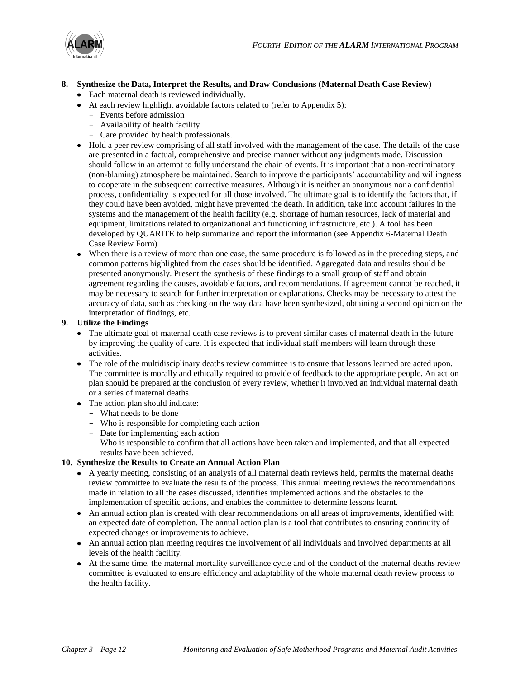

### **8. Synthesize the Data, Interpret the Results, and Draw Conclusions (Maternal Death Case Review)**

- Each maternal death is reviewed individually.
- At each review highlight avoidable factors related to (refer to Appendix 5):
	- Events before admission
	- Availability of health facility
	- Care provided by health professionals.
- Hold a peer review comprising of all staff involved with the management of the case. The details of the case are presented in a factual, comprehensive and precise manner without any judgments made. Discussion should follow in an attempt to fully understand the chain of events. It is important that a non-recriminatory (non-blaming) atmosphere be maintained. Search to improve the participants' accountability and willingness to cooperate in the subsequent corrective measures. Although it is neither an anonymous nor a confidential process, confidentiality is expected for all those involved. The ultimate goal is to identify the factors that, if they could have been avoided, might have prevented the death. In addition, take into account failures in the systems and the management of the health facility (e.g. shortage of human resources, lack of material and equipment, limitations related to organizational and functioning infrastructure, etc.). A tool has been developed by QUARITE to help summarize and report the information (see Appendix 6-Maternal Death Case Review Form)
- When there is a review of more than one case, the same procedure is followed as in the preceding steps, and common patterns highlighted from the cases should be identified. Aggregated data and results should be presented anonymously. Present the synthesis of these findings to a small group of staff and obtain agreement regarding the causes, avoidable factors, and recommendations. If agreement cannot be reached, it may be necessary to search for further interpretation or explanations. Checks may be necessary to attest the accuracy of data, such as checking on the way data have been synthesized, obtaining a second opinion on the interpretation of findings, etc.

#### **9. Utilize the Findings**

- The ultimate goal of maternal death case reviews is to prevent similar cases of maternal death in the future by improving the quality of care. It is expected that individual staff members will learn through these activities.
- The role of the multidisciplinary deaths review committee is to ensure that lessons learned are acted upon. The committee is morally and ethically required to provide of feedback to the appropriate people. An action plan should be prepared at the conclusion of every review, whether it involved an individual maternal death or a series of maternal deaths.
- The action plan should indicate:
	- What needs to be done
	- Who is responsible for completing each action
	- Date for implementing each action
	- Who is responsible to confirm that all actions have been taken and implemented, and that all expected results have been achieved.

#### **10. Synthesize the Results to Create an Annual Action Plan**

- A yearly meeting, consisting of an analysis of all maternal death reviews held, permits the maternal deaths review committee to evaluate the results of the process. This annual meeting reviews the recommendations made in relation to all the cases discussed, identifies implemented actions and the obstacles to the implementation of specific actions, and enables the committee to determine lessons learnt.
- An annual action plan is created with clear recommendations on all areas of improvements, identified with an expected date of completion. The annual action plan is a tool that contributes to ensuring continuity of expected changes or improvements to achieve.
- An annual action plan meeting requires the involvement of all individuals and involved departments at all levels of the health facility.
- At the same time, the maternal mortality surveillance cycle and of the conduct of the maternal deaths review committee is evaluated to ensure efficiency and adaptability of the whole maternal death review process to the health facility.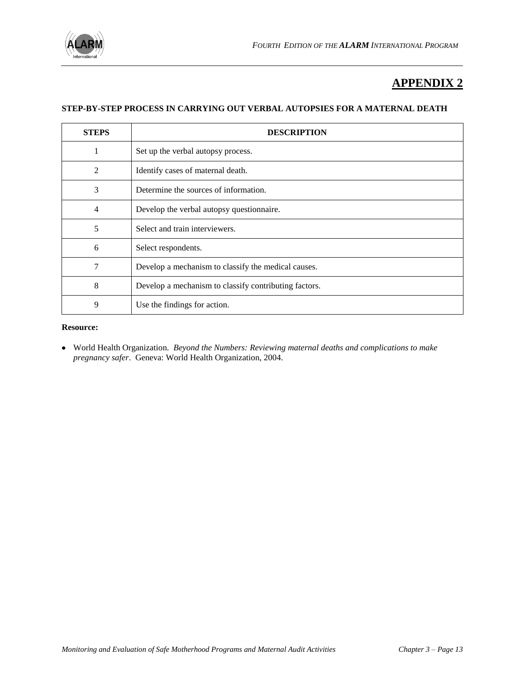

# **APPENDIX 2**

#### **STEP-BY-STEP PROCESS IN CARRYING OUT VERBAL AUTOPSIES FOR A MATERNAL DEATH**

| <b>STEPS</b> | <b>DESCRIPTION</b>                                    |
|--------------|-------------------------------------------------------|
| 1            | Set up the verbal autopsy process.                    |
| 2            | Identify cases of maternal death.                     |
| 3            | Determine the sources of information.                 |
| 4            | Develop the verbal autopsy questionnaire.             |
| 5            | Select and train interviewers.                        |
| 6            | Select respondents.                                   |
| 7            | Develop a mechanism to classify the medical causes.   |
| 8            | Develop a mechanism to classify contributing factors. |
| 9            | Use the findings for action.                          |

#### **Resource:**

World Health Organization. *Beyond the Numbers: Reviewing maternal deaths and complications to make pregnancy safer*. Geneva: World Health Organization, 2004.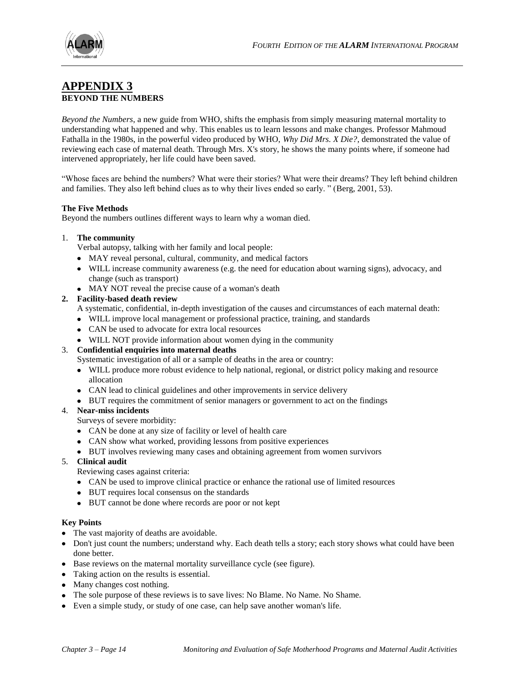

### **APPENDIX 3 BEYOND THE NUMBERS**

*Beyond the Numbers*, a new guide from WHO, shifts the emphasis from simply measuring maternal mortality to understanding what happened and why. This enables us to learn lessons and make changes. Professor Mahmoud Fathalla in the 1980s, in the powerful video produced by WHO, *Why Did Mrs. X Die?*, demonstrated the value of reviewing each case of maternal death. Through Mrs. X's story, he shows the many points where, if someone had intervened appropriately, her life could have been saved.

―Whose faces are behind the numbers? What were their stories? What were their dreams? They left behind children and families. They also left behind clues as to why their lives ended so early. " (Berg, 2001, 53).

#### **The Five Methods**

Beyond the numbers outlines different ways to learn why a woman died.

#### 1. **The community**

Verbal autopsy, talking with her family and local people:

- MAY reveal personal, cultural, community, and medical factors
- WILL increase community awareness (e.g. the need for education about warning signs), advocacy, and change (such as transport)
- MAY NOT reveal the precise cause of a woman's death

#### **2. Facility-based death review**

A systematic, confidential, in-depth investigation of the causes and circumstances of each maternal death:

- WILL improve local management or professional practice, training, and standards
- CAN be used to advocate for extra local resources
- WILL NOT provide information about women dying in the community

#### 3. **Confidential enquiries into maternal deaths**

Systematic investigation of all or a sample of deaths in the area or country:

- WILL produce more robust evidence to help national, regional, or district policy making and resource allocation
- CAN lead to clinical guidelines and other improvements in service delivery
- BUT requires the commitment of senior managers or government to act on the findings

#### 4. **Near-miss incidents**

Surveys of severe morbidity:

- CAN be done at any size of facility or level of health care
- CAN show what worked, providing lessons from positive experiences
- BUT involves reviewing many cases and obtaining agreement from women survivors
- 5. **Clinical audit**

Reviewing cases against criteria:

- CAN be used to improve clinical practice or enhance the rational use of limited resources
- BUT requires local consensus on the standards
- BUT cannot be done where records are poor or not kept

#### **Key Points**

- The vast majority of deaths are avoidable.
- Don't just count the numbers; understand why. Each death tells a story; each story shows what could have been done better.
- Base reviews on the maternal mortality surveillance cycle (see figure).
- Taking action on the results is essential.
- Many changes cost nothing.
- The sole purpose of these reviews is to save lives: No Blame. No Name. No Shame.
- Even a simple study, or study of one case, can help save another woman's life.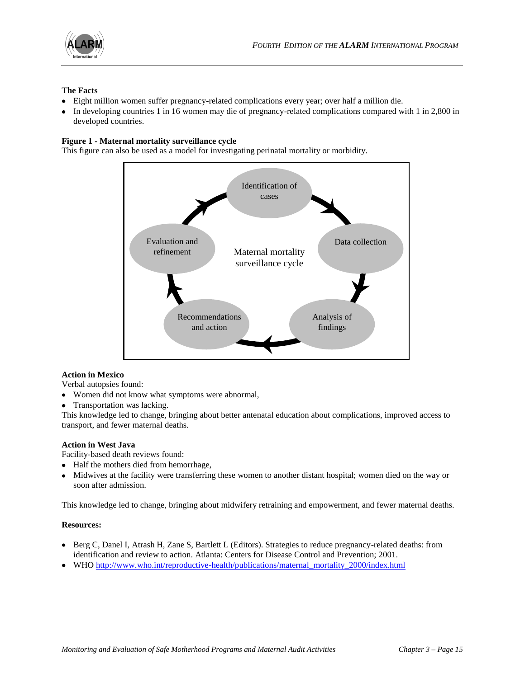

#### **The Facts**

- Eight million women suffer pregnancy-related complications every year; over half a million die.
- In developing countries 1 in 16 women may die of pregnancy-related complications compared with 1 in 2,800 in developed countries.

#### **Figure 1 - Maternal mortality surveillance cycle**

This figure can also be used as a model for investigating perinatal mortality or morbidity.



#### **Action in Mexico**

Verbal autopsies found:

- Women did not know what symptoms were abnormal,
- Transportation was lacking.

This knowledge led to change, bringing about better antenatal education about complications, improved access to transport, and fewer maternal deaths.

#### **Action in West Java**

Facility-based death reviews found:

- Half the mothers died from hemorrhage,
- Midwives at the facility were transferring these women to another distant hospital; women died on the way or soon after admission.

This knowledge led to change, bringing about midwifery retraining and empowerment, and fewer maternal deaths.

#### **Resources:**

- Berg C, Danel I, Atrash H, Zane S, Bartlett L (Editors). Strategies to reduce pregnancy-related deaths: from identification and review to action. Atlanta: Centers for Disease Control and Prevention; 2001.
- WHO [http://www.who.int/reproductive-health/publications/maternal\\_mortality\\_2000/index.html](http://www.who.int/reproductive-health/publications/maternal_mortality_2000/index.html)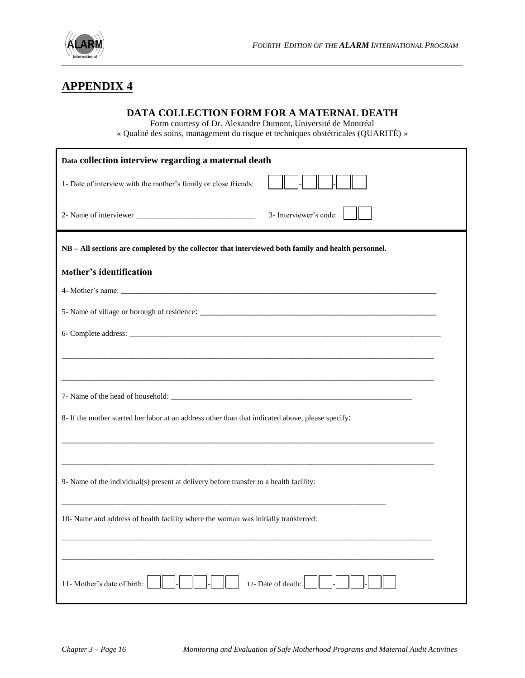

# **APPENDIX 4**

### **DATA COLLECTION FORM FOR A MATERNAL DEATH**

Form courtesy of Dr. Alexandre Dumont, Université de Montréal

« Qualité des soins, management du risque et techniques obstétricales (QUARITÉ) »

| Data collection interview regarding a maternal death                                                |
|-----------------------------------------------------------------------------------------------------|
| 1- Date of interview with the mother's family or close friends:                                     |
| 3- Interviewer's code:                                                                              |
| NB - All sections are completed by the collector that interviewed both family and health personnel. |
| Mother's identification                                                                             |
| 4- Mother's name:                                                                                   |
|                                                                                                     |
|                                                                                                     |
|                                                                                                     |
|                                                                                                     |
|                                                                                                     |
| 8- If the mother started her labor at an address other than that indicated above, please specify:   |
|                                                                                                     |
| 9- Name of the individual(s) present at delivery before transfer to a health facility:              |
| 10- Name and address of health facility where the woman was initially transferred:                  |
|                                                                                                     |
| 11- Mother's date of birth:<br>12- Date of death:                                                   |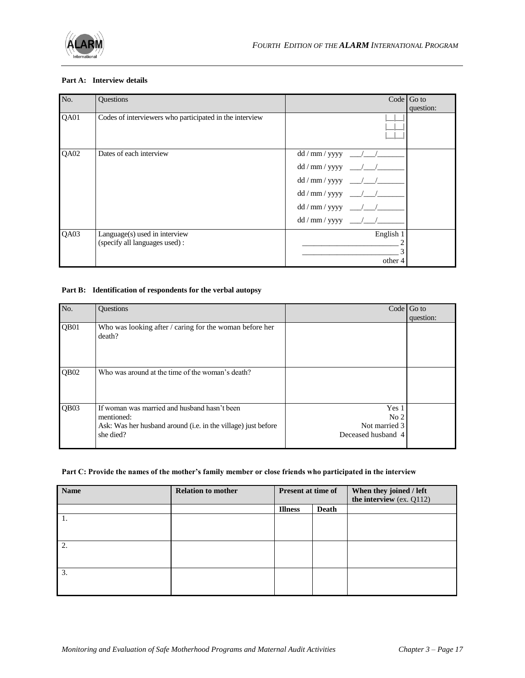

#### **Part A: Interview details**

| No.  | Questions                                                      | Code $\vert$ Go to                                                               |
|------|----------------------------------------------------------------|----------------------------------------------------------------------------------|
|      |                                                                | question:                                                                        |
| QA01 | Codes of interviewers who participated in the interview        |                                                                                  |
| QA02 | Dates of each interview                                        | dd / mm / yyyy<br>$\sim$ $\sim$ $\sim$<br>$dd / mm / yyy -$<br>$dd / mm / yyy -$ |
| QA03 | Language(s) used in interview<br>(specify all languages used): | English 1<br>other 4                                                             |

#### **Part B: Identification of respondents for the verbal autopsy**

| No.              | <b>Ouestions</b>                                                                                                                         | Code                                                            | Go to     |
|------------------|------------------------------------------------------------------------------------------------------------------------------------------|-----------------------------------------------------------------|-----------|
|                  |                                                                                                                                          |                                                                 | question: |
| QB <sub>01</sub> | Who was looking after / caring for the woman before her<br>death?                                                                        |                                                                 |           |
| QB <sub>02</sub> | Who was around at the time of the woman's death?                                                                                         |                                                                 |           |
| QB <sub>03</sub> | If woman was married and husband hasn't been<br>mentioned:<br>Ask: Was her husband around (i.e. in the village) just before<br>she died? | Yes 1<br>No <sub>2</sub><br>Not married 3<br>Deceased husband 4 |           |

#### **Part C: Provide the names of the mother's family member or close friends who participated in the interview**

| <b>Name</b> | <b>Relation to mother</b> | <b>Present at time of</b> |              | When they joined / left<br>the interview (ex. Q112) |
|-------------|---------------------------|---------------------------|--------------|-----------------------------------------------------|
|             |                           | <b>Illness</b>            | <b>Death</b> |                                                     |
| 1.          |                           |                           |              |                                                     |
|             |                           |                           |              |                                                     |
| 2.          |                           |                           |              |                                                     |
|             |                           |                           |              |                                                     |
| 3.          |                           |                           |              |                                                     |
|             |                           |                           |              |                                                     |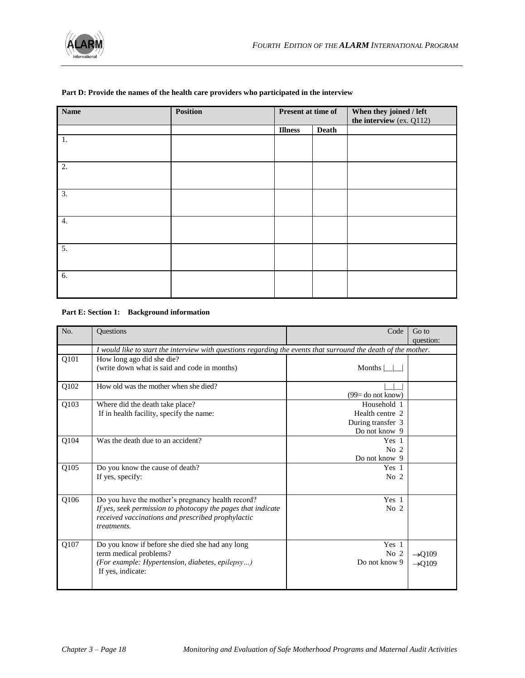| <b>Name</b> | Position | Present at time of |              | When they joined / left<br>the interview (ex. Q112) |
|-------------|----------|--------------------|--------------|-----------------------------------------------------|
|             |          | <b>Illness</b>     | <b>Death</b> |                                                     |
| 1.          |          |                    |              |                                                     |
| 2.          |          |                    |              |                                                     |
| 3.          |          |                    |              |                                                     |
| 4.          |          |                    |              |                                                     |
| 5.          |          |                    |              |                                                     |
| 6.          |          |                    |              |                                                     |

#### **Part D: Provide the names of the health care providers who participated in the interview**

#### **Part E: Section 1: Background information**

| No.  | Questions                                                                                                         | Code                | Go to              |  |
|------|-------------------------------------------------------------------------------------------------------------------|---------------------|--------------------|--|
|      |                                                                                                                   |                     | question:          |  |
|      | I would like to start the interview with questions regarding the events that surround the death of the mother.    |                     |                    |  |
| Q101 | How long ago did she die?                                                                                         |                     |                    |  |
|      | (write down what is said and code in months)                                                                      | Months              |                    |  |
| Q102 | How old was the mother when she died?                                                                             |                     |                    |  |
|      |                                                                                                                   | $(99=$ do not know) |                    |  |
| Q103 | Where did the death take place?                                                                                   | Household 1         |                    |  |
|      | If in health facility, specify the name:                                                                          | Health centre 2     |                    |  |
|      |                                                                                                                   | During transfer 3   |                    |  |
|      |                                                                                                                   | Do not know 9       |                    |  |
| Q104 | Was the death due to an accident?                                                                                 | Yes <sub>1</sub>    |                    |  |
|      |                                                                                                                   | No <sub>2</sub>     |                    |  |
|      |                                                                                                                   | Do not know 9       |                    |  |
| Q105 | Do you know the cause of death?                                                                                   | Yes 1               |                    |  |
|      | If yes, specify:                                                                                                  | No $2$              |                    |  |
|      |                                                                                                                   |                     |                    |  |
| Q106 | Do you have the mother's pregnancy health record?                                                                 | Yes <sub>1</sub>    |                    |  |
|      | If yes, seek permission to photocopy the pages that indicate<br>received vaccinations and prescribed prophylactic | No <sub>2</sub>     |                    |  |
|      | treatments.                                                                                                       |                     |                    |  |
| Q107 | Do you know if before she died she had any long                                                                   | Yes 1               |                    |  |
|      | term medical problems?                                                                                            | No <sub>2</sub>     | $\rightarrow Q109$ |  |
|      | (For example: Hypertension, diabetes, epilepsy)                                                                   | Do not know 9       | $\rightarrow Q109$ |  |
|      | If yes, indicate:                                                                                                 |                     |                    |  |
|      |                                                                                                                   |                     |                    |  |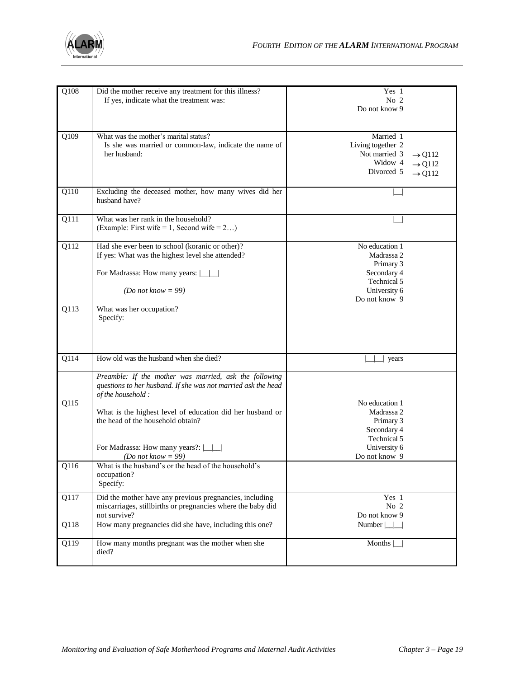

| Q108              | Did the mother receive any treatment for this illness?<br>If yes, indicate what the treatment was:                                                                                                                                                                                                     | Yes 1<br>No 2<br>Do not know 9                                                                           |                                                                |
|-------------------|--------------------------------------------------------------------------------------------------------------------------------------------------------------------------------------------------------------------------------------------------------------------------------------------------------|----------------------------------------------------------------------------------------------------------|----------------------------------------------------------------|
| Q109              | What was the mother's marital status?<br>Is she was married or common-law, indicate the name of<br>her husband:                                                                                                                                                                                        | Married 1<br>Living together 2<br>Not married 3<br>Widow 4<br>Divorced 5                                 | $\rightarrow$ Q112<br>$\rightarrow$ Q112<br>$\rightarrow$ Q112 |
| Q110              | Excluding the deceased mother, how many wives did her<br>husband have?                                                                                                                                                                                                                                 |                                                                                                          |                                                                |
| Q111              | What was her rank in the household?<br>(Example: First wife = 1, Second wife = $2$ )                                                                                                                                                                                                                   |                                                                                                          |                                                                |
| $\overline{Q112}$ | Had she ever been to school (koranic or other)?<br>If yes: What was the highest level she attended?<br>For Madrassa: How many years:  <br>(Do not know = 99)                                                                                                                                           | No education 1<br>Madrassa 2<br>Primary 3<br>Secondary 4<br>Technical 5<br>University 6<br>Do not know 9 |                                                                |
| Q113              | What was her occupation?<br>Specify:                                                                                                                                                                                                                                                                   |                                                                                                          |                                                                |
| Q114              | How old was the husband when she died?                                                                                                                                                                                                                                                                 | years                                                                                                    |                                                                |
| Q115              | Preamble: If the mother was married, ask the following<br>questions to her husband. If she was not married ask the head<br>of the household:<br>What is the highest level of education did her husband or<br>the head of the household obtain?<br>For Madrassa: How many years?: $\boxed{\phantom{1}}$ | No education 1<br>Madrassa 2<br>Primary 3<br>Secondary 4<br>Technical 5<br>University 6                  |                                                                |
| O <sub>116</sub>  | ( <i>Do not know</i> = 99)<br>What is the husband's or the head of the household's<br>occupation?<br>Specify:                                                                                                                                                                                          | Do not know 9                                                                                            |                                                                |
| Q117              | Did the mother have any previous pregnancies, including<br>miscarriages, stillbirths or pregnancies where the baby did<br>not survive?                                                                                                                                                                 | Yes 1<br>No 2<br>Do not know 9                                                                           |                                                                |
| Q118              | How many pregnancies did she have, including this one?                                                                                                                                                                                                                                                 | Number                                                                                                   |                                                                |
| Q119              | How many months pregnant was the mother when she<br>died?                                                                                                                                                                                                                                              | Months                                                                                                   |                                                                |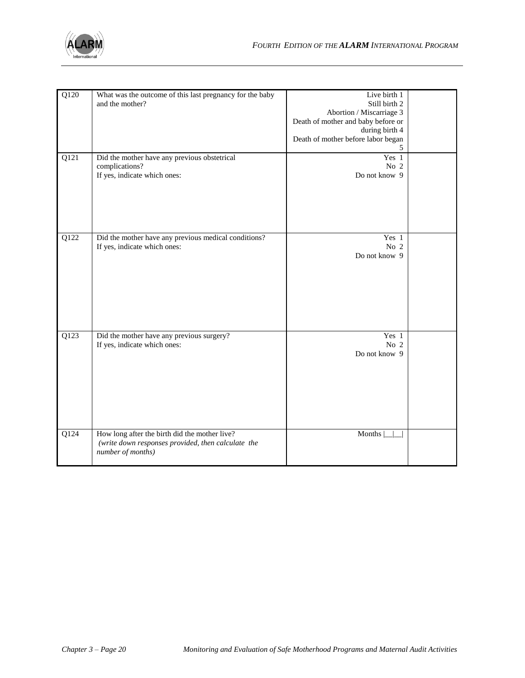

| Q120 | What was the outcome of this last pregnancy for the baby<br>and the mother?                                              | Live birth 1<br>Still birth 2<br>Abortion / Miscarriage 3<br>Death of mother and baby before or<br>during birth 4<br>Death of mother before labor began<br>5 |  |
|------|--------------------------------------------------------------------------------------------------------------------------|--------------------------------------------------------------------------------------------------------------------------------------------------------------|--|
| Q121 | Did the mother have any previous obstetrical<br>complications?<br>If yes, indicate which ones:                           | Yes 1<br>No 2<br>Do not know 9                                                                                                                               |  |
| Q122 | Did the mother have any previous medical conditions?<br>If yes, indicate which ones:                                     | Yes 1<br>No 2<br>Do not know 9                                                                                                                               |  |
| Q123 | Did the mother have any previous surgery?<br>If yes, indicate which ones:                                                | Yes 1<br>No $2$<br>Do not know 9                                                                                                                             |  |
| Q124 | How long after the birth did the mother live?<br>(write down responses provided, then calculate the<br>number of months) | Months                                                                                                                                                       |  |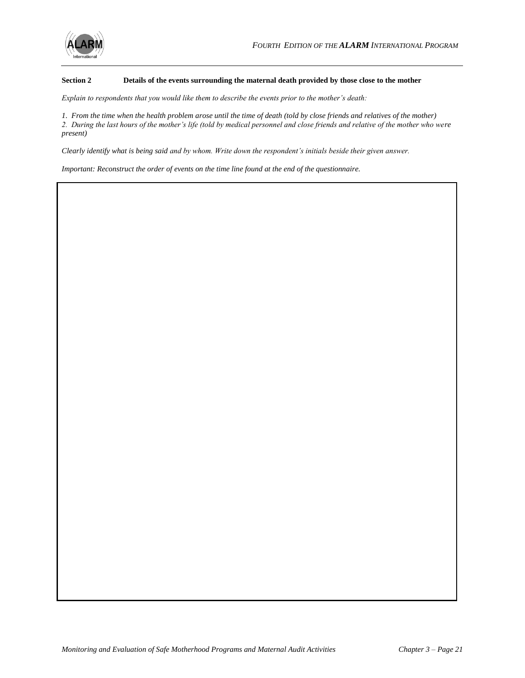

#### **Section 2 Details of the events surrounding the maternal death provided by those close to the mother**

*Explain to respondents that you would like them to describe the events prior to the mother's death:*

*1. From the time when the health problem arose until the time of death (told by close friends and relatives of the mother) 2. During the last hours of the mother's life (told by medical personnel and close friends and relative of the mother who were present)* 

*Clearly identify what is being said and by whom. Write down the respondent's initials beside their given answer.* 

*Important: Reconstruct the order of events on the time line found at the end of the questionnaire.*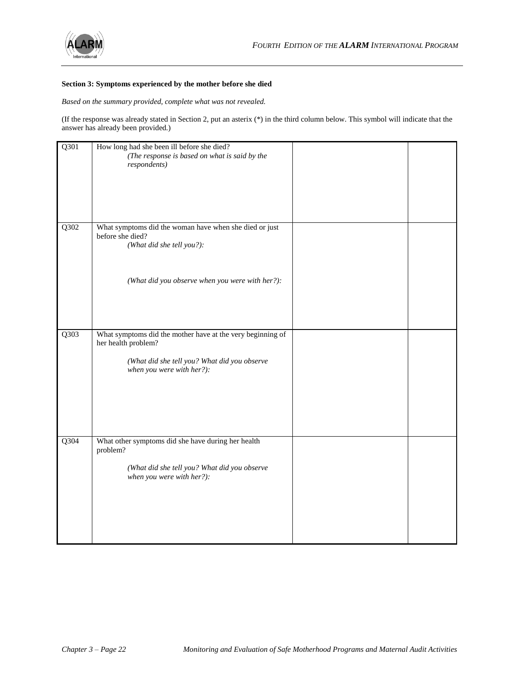

#### **Section 3: Symptoms experienced by the mother before she died**

*Based on the summary provided, complete what was not revealed.*

(If the response was already stated in Section 2, put an asterix (\*) in the third column below. This symbol will indicate that the answer has already been provided.)

| Q301              | How long had she been ill before she died?<br>(The response is based on what is said by the<br>respondents)                                                    |  |
|-------------------|----------------------------------------------------------------------------------------------------------------------------------------------------------------|--|
|                   |                                                                                                                                                                |  |
| Q302              | What symptoms did the woman have when she died or just<br>before she died?<br>(What did she tell you?):                                                        |  |
|                   | (What did you observe when you were with her?):                                                                                                                |  |
| $\overline{Q303}$ | What symptoms did the mother have at the very beginning of<br>her health problem?<br>(What did she tell you? What did you observe<br>when you were with her?): |  |
| $Q$ 304           | What other symptoms did she have during her health<br>problem?<br>(What did she tell you? What did you observe<br>when you were with her?):                    |  |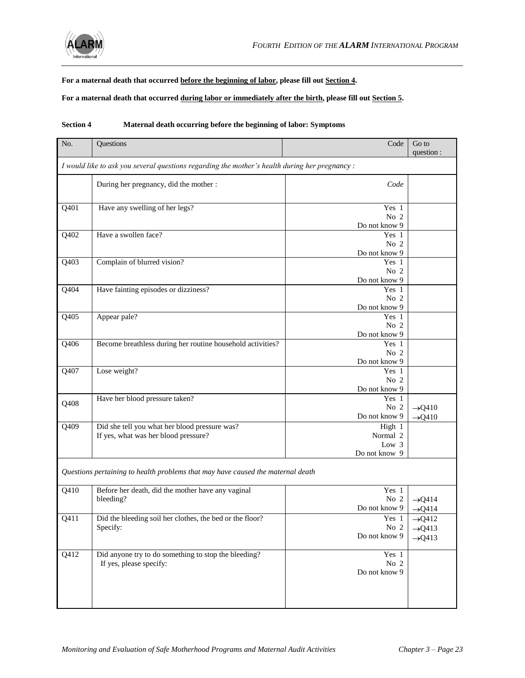

#### **For a maternal death that occurred before the beginning of labor, please fill out Section 4.**

**For a maternal death that occurred during labor or immediately after the birth, please fill out Section 5.**

| No.                                                                                            | Questions                                                                             | Code                                         | Go to<br>question :                                            |
|------------------------------------------------------------------------------------------------|---------------------------------------------------------------------------------------|----------------------------------------------|----------------------------------------------------------------|
| I would like to ask you several questions regarding the mother's health during her pregnancy : |                                                                                       |                                              |                                                                |
|                                                                                                | During her pregnancy, did the mother :                                                | Code                                         |                                                                |
| Q401                                                                                           | Have any swelling of her legs?                                                        | Yes 1<br>No 2<br>Do not know 9               |                                                                |
| Q402                                                                                           | Have a swollen face?                                                                  | Yes 1<br>No <sub>2</sub><br>Do not know 9    |                                                                |
| $\overline{Q403}$                                                                              | Complain of blurred vision?                                                           | Yes 1<br>No 2<br>Do not know 9               |                                                                |
| Q404                                                                                           | Have fainting episodes or dizziness?                                                  | Yes 1<br>No 2<br>Do not know 9               |                                                                |
| Q405                                                                                           | Appear pale?                                                                          | Yes 1<br>No <sub>2</sub><br>Do not know 9    |                                                                |
| Q406                                                                                           | Become breathless during her routine household activities?                            | Yes 1<br>No 2<br>Do not know 9               |                                                                |
| Q407                                                                                           | Lose weight?                                                                          | Yes 1<br>No 2<br>Do not know 9               |                                                                |
| Q408                                                                                           | Have her blood pressure taken?                                                        | Yes 1<br>No <sub>2</sub><br>Do not know 9    | $\rightarrow$ Q410<br>$\rightarrow$ Q410                       |
| Q409                                                                                           | Did she tell you what her blood pressure was?<br>If yes, what was her blood pressure? | High 1<br>Normal 2<br>Low 3<br>Do not know 9 |                                                                |
|                                                                                                | Questions pertaining to health problems that may have caused the maternal death       |                                              |                                                                |
| Q410                                                                                           | Before her death, did the mother have any vaginal<br>bleeding?                        | Yes 1<br>No 2<br>Do not know 9               | $\rightarrow$ Q414<br>$\rightarrow$ Q414                       |
| $Q41\overline{1}$                                                                              | Did the bleeding soil her clothes, the bed or the floor?<br>Specify:                  | Yes 1<br>No 2<br>Do not know 9               | $\rightarrow$ Q412<br>$\rightarrow$ Q413<br>$\rightarrow$ Q413 |
| Q412                                                                                           | Did anyone try to do something to stop the bleeding?<br>If yes, please specify:       | Yes 1<br>No 2<br>Do not know 9               |                                                                |

#### **Section 4 Maternal death occurring before the beginning of labor: Symptoms**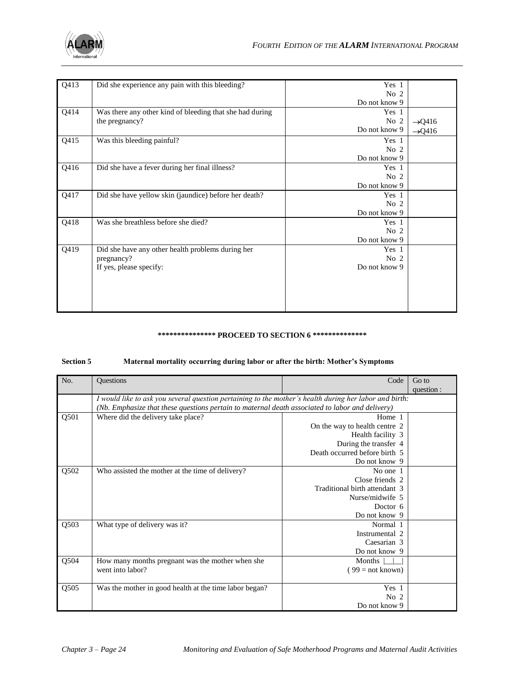

| Q413 | Did she experience any pain with this bleeding?          | Yes 1           |                    |
|------|----------------------------------------------------------|-----------------|--------------------|
|      |                                                          | No <sub>2</sub> |                    |
|      |                                                          | Do not know 9   |                    |
| Q414 | Was there any other kind of bleeding that she had during | Yes 1           |                    |
|      | the pregnancy?                                           | No <sub>2</sub> | $\rightarrow$ Q416 |
|      |                                                          | Do not know 9   | $\rightarrow$ Q416 |
| Q415 | Was this bleeding painful?                               | Yes 1           |                    |
|      |                                                          | No <sub>2</sub> |                    |
|      |                                                          | Do not know 9   |                    |
| Q416 | Did she have a fever during her final illness?           | Yes 1           |                    |
|      |                                                          | No <sub>2</sub> |                    |
|      |                                                          | Do not know 9   |                    |
| Q417 | Did she have yellow skin (jaundice) before her death?    | Yes 1           |                    |
|      |                                                          | No <sub>2</sub> |                    |
|      |                                                          | Do not know 9   |                    |
| Q418 | Was she breathless before she died?                      | Yes 1           |                    |
|      |                                                          | No <sub>2</sub> |                    |
|      |                                                          | Do not know 9   |                    |
| Q419 | Did she have any other health problems during her        | Yes 1           |                    |
|      | pregnancy?                                               | No <sub>2</sub> |                    |
|      | If yes, please specify:                                  | Do not know 9   |                    |
|      |                                                          |                 |                    |
|      |                                                          |                 |                    |
|      |                                                          |                 |                    |
|      |                                                          |                 |                    |
|      |                                                          |                 |                    |

#### **\*\*\*\*\*\*\*\*\*\*\*\*\*\*\* PROCEED TO SECTION 6 \*\*\*\*\*\*\*\*\*\*\*\*\*\***

#### **Section 5 Maternal mortality occurring during labor or after the birth: Mother's Symptoms**

| No.  | Questions                                                                                              | Code                          | Go to      |
|------|--------------------------------------------------------------------------------------------------------|-------------------------------|------------|
|      |                                                                                                        |                               | question : |
|      | I would like to ask you several question pertaining to the mother's health during her labor and birth: |                               |            |
|      | (Nb. Emphasize that these questions pertain to maternal death associated to labor and delivery)        |                               |            |
| Q501 | Where did the delivery take place?                                                                     | Home 1                        |            |
|      |                                                                                                        | On the way to health centre 2 |            |
|      |                                                                                                        | Health facility 3             |            |
|      |                                                                                                        | During the transfer 4         |            |
|      |                                                                                                        | Death occurred before birth 5 |            |
|      |                                                                                                        | Do not know 9                 |            |
| Q502 | Who assisted the mother at the time of delivery?                                                       | No one 1                      |            |
|      |                                                                                                        | Close friends 2               |            |
|      |                                                                                                        | Traditional birth attendant 3 |            |
|      |                                                                                                        | Nurse/midwife 5               |            |
|      |                                                                                                        | Doctor 6                      |            |
|      |                                                                                                        | Do not know 9                 |            |
| Q503 | What type of delivery was it?                                                                          | Normal 1                      |            |
|      |                                                                                                        | Instrumental 2                |            |
|      |                                                                                                        | Caesarian 3                   |            |
|      |                                                                                                        | Do not know 9                 |            |
| Q504 | How many months pregnant was the mother when she                                                       | Months                        |            |
|      | went into labor?                                                                                       | $(99)$ = not known)           |            |
|      |                                                                                                        |                               |            |
| Q505 | Was the mother in good health at the time labor began?                                                 | Yes 1                         |            |
|      |                                                                                                        | No $2$                        |            |
|      |                                                                                                        | Do not know 9                 |            |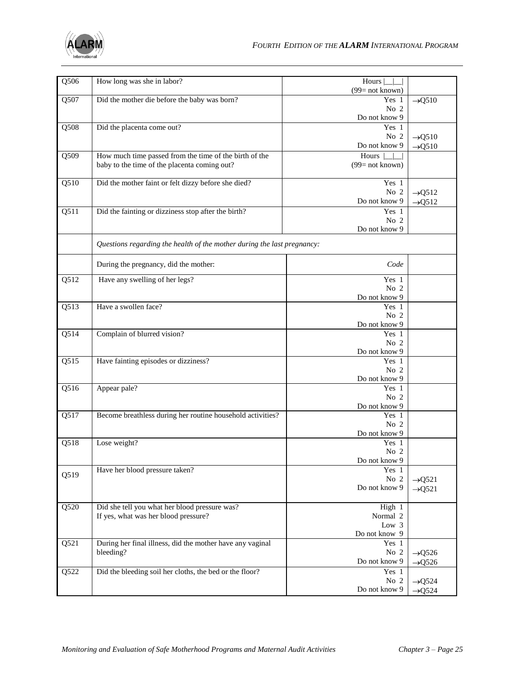

| $\overline{Q506}$ | How long was she in labor?                                                                             | Hours                  |                    |
|-------------------|--------------------------------------------------------------------------------------------------------|------------------------|--------------------|
|                   |                                                                                                        | $(99)$ = not known)    |                    |
| Q507              | Did the mother die before the baby was born?                                                           | Yes 1                  | $\rightarrow Q510$ |
|                   |                                                                                                        | No 2                   |                    |
|                   |                                                                                                        | Do not know 9          |                    |
| Q508              | Did the placenta come out?                                                                             | Yes 1                  |                    |
|                   |                                                                                                        | No 2<br>Do not know 9  | $\rightarrow Q510$ |
|                   |                                                                                                        | Hours                  | $\rightarrow Q510$ |
| Q509              | How much time passed from the time of the birth of the<br>baby to the time of the placenta coming out? | $(99=$ not known)      |                    |
|                   |                                                                                                        |                        |                    |
| Q510              | Did the mother faint or felt dizzy before she died?                                                    | Yes 1                  |                    |
|                   |                                                                                                        | No 2                   | $\rightarrow Q512$ |
|                   |                                                                                                        | Do not know 9          | $\rightarrow Q512$ |
| Q511              | Did the fainting or dizziness stop after the birth?                                                    | Yes 1                  |                    |
|                   |                                                                                                        | No $2$                 |                    |
|                   |                                                                                                        | Do not know 9          |                    |
|                   | Questions regarding the health of the mother during the last pregnancy:                                |                        |                    |
|                   |                                                                                                        |                        |                    |
|                   | During the pregnancy, did the mother:                                                                  | Code                   |                    |
| Q512              | Have any swelling of her legs?                                                                         | Yes 1                  |                    |
|                   |                                                                                                        | No $2$                 |                    |
|                   |                                                                                                        | Do not know 9          |                    |
| Q513              | Have a swollen face?                                                                                   | Yes 1                  |                    |
|                   |                                                                                                        | No <sub>2</sub>        |                    |
| Q514              | Complain of blurred vision?                                                                            | Do not know 9<br>Yes 1 |                    |
|                   |                                                                                                        | No $2$                 |                    |
|                   |                                                                                                        | Do not know 9          |                    |
| $\overline{Q515}$ | Have fainting episodes or dizziness?                                                                   | Yes 1                  |                    |
|                   |                                                                                                        | No <sub>2</sub>        |                    |
|                   |                                                                                                        | Do not know 9          |                    |
| Q516              | Appear pale?                                                                                           | Yes 1                  |                    |
|                   |                                                                                                        | No 2                   |                    |
| Q517              | Become breathless during her routine household activities?                                             | Do not know 9<br>Yes 1 |                    |
|                   |                                                                                                        | No $2$                 |                    |
|                   |                                                                                                        | Do not know 9          |                    |
| Q518              | Lose weight?                                                                                           | Yes 1                  |                    |
|                   |                                                                                                        | No <sub>2</sub>        |                    |
|                   |                                                                                                        | Do not know 9          |                    |
| Q519              | Have her blood pressure taken?                                                                         | Yes 1                  |                    |
|                   |                                                                                                        | No 2                   | $\rightarrow$ Q521 |
|                   |                                                                                                        | Do not know 9          | $\rightarrow$ Q521 |
|                   |                                                                                                        |                        |                    |
| Q520              | Did she tell you what her blood pressure was?<br>If yes, what was her blood pressure?                  | High 1<br>Normal 2     |                    |
|                   |                                                                                                        | Low $3$                |                    |
|                   |                                                                                                        | Do not know 9          |                    |
| Q521              | During her final illness, did the mother have any vaginal                                              | Yes 1                  |                    |
|                   | bleeding?                                                                                              | No 2                   | $\rightarrow$ Q526 |
|                   |                                                                                                        | Do not know 9          | $\rightarrow$ Q526 |
| Q522              | Did the bleeding soil her cloths, the bed or the floor?                                                | Yes 1                  |                    |
|                   |                                                                                                        | No 2                   | $\rightarrow$ Q524 |
|                   |                                                                                                        | Do not know 9          | $\rightarrow$ Q524 |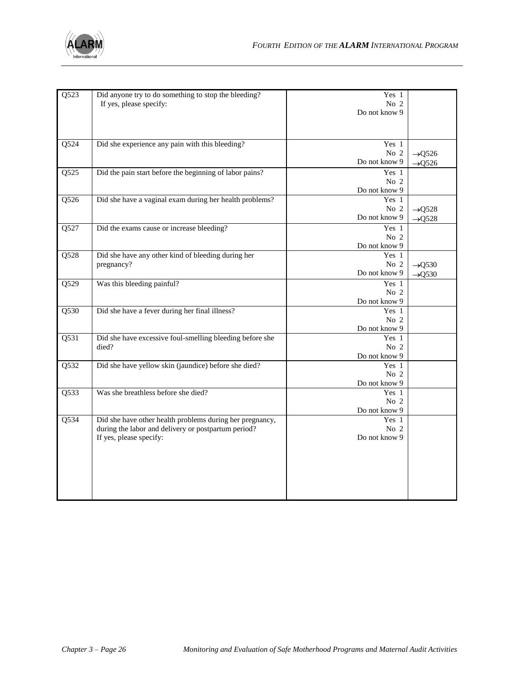

| Q523              | Did anyone try to do something to stop the bleeding?<br>If yes, please specify:                                                            | Yes 1<br>No 2<br>Do not know 9            |                                          |
|-------------------|--------------------------------------------------------------------------------------------------------------------------------------------|-------------------------------------------|------------------------------------------|
| Q524              | Did she experience any pain with this bleeding?                                                                                            | Yes 1<br>No 2<br>Do not know 9            | $\rightarrow$ Q526<br>$\rightarrow$ Q526 |
| Q525              | Did the pain start before the beginning of labor pains?                                                                                    | Yes 1<br>No 2<br>Do not know 9            |                                          |
| Q526              | Did she have a vaginal exam during her health problems?                                                                                    | Yes 1<br>No 2<br>Do not know 9            | $\rightarrow Q528$<br>$\rightarrow Q528$ |
| Q527              | Did the exams cause or increase bleeding?                                                                                                  | Yes 1<br>No <sub>2</sub><br>Do not know 9 |                                          |
| Q528              | Did she have any other kind of bleeding during her<br>pregnancy?                                                                           | Yes 1<br>No <sub>2</sub><br>Do not know 9 | $\rightarrow Q530$<br>$\rightarrow Q530$ |
| Q529              | Was this bleeding painful?                                                                                                                 | Yes 1<br>No 2<br>Do not know 9            |                                          |
| Q530              | Did she have a fever during her final illness?                                                                                             | Yes 1<br>No <sub>2</sub><br>Do not know 9 |                                          |
| Q531              | Did she have excessive foul-smelling bleeding before she<br>died?                                                                          | Yes 1<br>No $2$<br>Do not know 9          |                                          |
| Q532              | Did she have yellow skin (jaundice) before she died?                                                                                       | Yes 1<br>No $2$<br>Do not know 9          |                                          |
| Q533              | Was she breathless before she died?                                                                                                        | Yes 1<br>No $2$<br>Do not know 9          |                                          |
| $\overline{Q534}$ | Did she have other health problems during her pregnancy,<br>during the labor and delivery or postpartum period?<br>If yes, please specify: | Yes 1<br>No 2<br>Do not know 9            |                                          |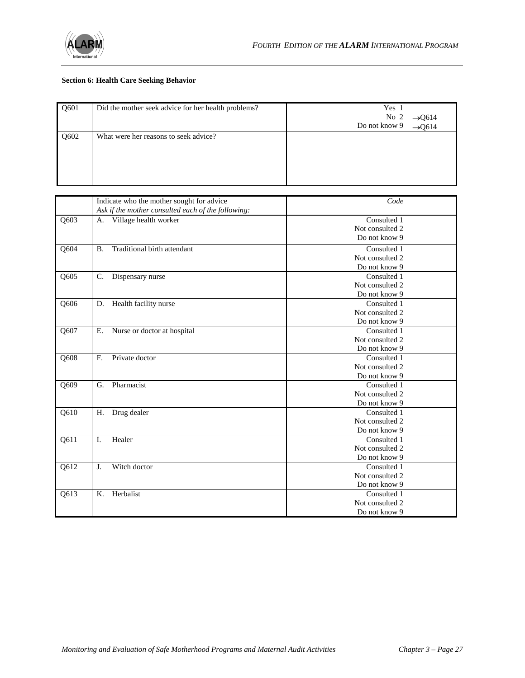

#### **Section 6: Health Care Seeking Behavior**

| Q601 | Did the mother seek advice for her health problems? | Yes 1<br>No 2<br>Do not know 9 | $\rightarrow$ Q614<br>$\rightarrow$ Q614 |
|------|-----------------------------------------------------|--------------------------------|------------------------------------------|
| Q602 | What were her reasons to seek advice?               |                                |                                          |

|                   | Indicate who the mother sought for advice          | Code            |  |
|-------------------|----------------------------------------------------|-----------------|--|
|                   | Ask if the mother consulted each of the following: |                 |  |
| Q603              | Village health worker<br>A.                        | Consulted 1     |  |
|                   |                                                    | Not consulted 2 |  |
|                   |                                                    | Do not know 9   |  |
| Q604              | Traditional birth attendant<br><b>B.</b>           | Consulted 1     |  |
|                   |                                                    | Not consulted 2 |  |
|                   |                                                    | Do not know 9   |  |
| Q605              | $\mathbf{C}$ .<br>Dispensary nurse                 | Consulted 1     |  |
|                   |                                                    | Not consulted 2 |  |
|                   |                                                    | Do not know 9   |  |
| Q606              | Health facility nurse<br>D.                        | Consulted 1     |  |
|                   |                                                    | Not consulted 2 |  |
|                   |                                                    | Do not know 9   |  |
| Q607              | E.<br>Nurse or doctor at hospital                  | Consulted 1     |  |
|                   |                                                    | Not consulted 2 |  |
|                   |                                                    | Do not know 9   |  |
| Q608              | Private doctor<br>$F_{\rm c}$                      | Consulted 1     |  |
|                   |                                                    | Not consulted 2 |  |
|                   |                                                    | Do not know 9   |  |
| Q609              | Pharmacist<br>G.                                   | Consulted 1     |  |
|                   |                                                    | Not consulted 2 |  |
|                   |                                                    | Do not know 9   |  |
| $Q6\overline{10}$ | Drug dealer<br>Η.                                  | Consulted 1     |  |
|                   |                                                    | Not consulted 2 |  |
|                   |                                                    | Do not know 9   |  |
| Q611              | I.<br>Healer                                       | Consulted 1     |  |
|                   |                                                    | Not consulted 2 |  |
|                   |                                                    | Do not know 9   |  |
| Q612              | Witch doctor<br>J.                                 | Consulted 1     |  |
|                   |                                                    | Not consulted 2 |  |
|                   |                                                    | Do not know 9   |  |
| Q613              | Herbalist<br>Κ.                                    | Consulted 1     |  |
|                   |                                                    | Not consulted 2 |  |
|                   |                                                    | Do not know 9   |  |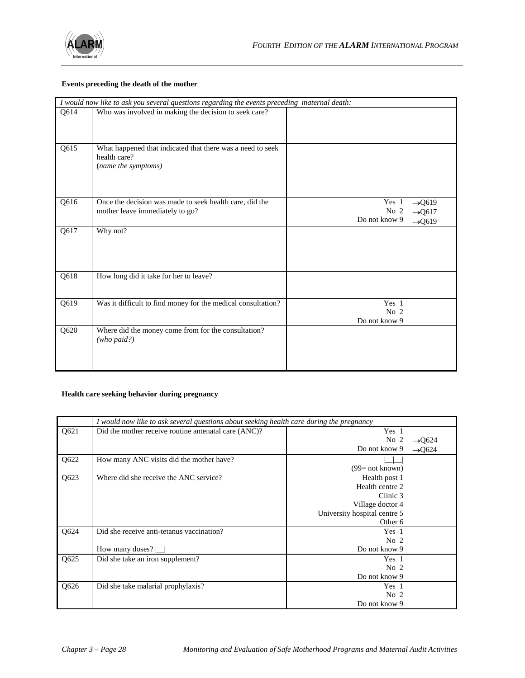

#### **Events preceding the death of the mother**

|      | I would now like to ask you several questions regarding the events preceding maternal death:      |                                  |                                                                |
|------|---------------------------------------------------------------------------------------------------|----------------------------------|----------------------------------------------------------------|
| Q614 | Who was involved in making the decision to seek care?                                             |                                  |                                                                |
| Q615 | What happened that indicated that there was a need to seek<br>health care?<br>(name the symptoms) |                                  |                                                                |
| Q616 | Once the decision was made to seek health care, did the<br>mother leave immediately to go?        | Yes 1<br>No 2<br>Do not know 9   | $\rightarrow$ Q619<br>$\rightarrow$ Q617<br>$\rightarrow$ Q619 |
| Q617 | Why not?                                                                                          |                                  |                                                                |
| Q618 | How long did it take for her to leave?                                                            |                                  |                                                                |
| Q619 | Was it difficult to find money for the medical consultation?                                      | Yes 1<br>No $2$<br>Do not know 9 |                                                                |
| Q620 | Where did the money come from for the consultation?<br>(who paid?)                                |                                  |                                                                |

#### **Health care seeking behavior during pregnancy**

|      | I would now like to ask several questions about seeking health care during the pregnancy |                              |                    |
|------|------------------------------------------------------------------------------------------|------------------------------|--------------------|
| Q621 | Did the mother receive routine antenatal care (ANC)?                                     | Yes 1                        |                    |
|      |                                                                                          | No <sub>2</sub>              | $\rightarrow$ Q624 |
|      |                                                                                          | Do not know 9                | $\rightarrow$ Q624 |
| Q622 | How many ANC visits did the mother have?                                                 |                              |                    |
|      |                                                                                          | $(99=$ not known)            |                    |
| Q623 | Where did she receive the ANC service?                                                   | Health post 1                |                    |
|      |                                                                                          | Health centre 2              |                    |
|      |                                                                                          | Clinic 3                     |                    |
|      |                                                                                          | Village doctor 4             |                    |
|      |                                                                                          | University hospital centre 5 |                    |
|      |                                                                                          | Other 6                      |                    |
| Q624 | Did she receive anti-tetanus vaccination?                                                | Yes 1                        |                    |
|      |                                                                                          | No <sub>2</sub>              |                    |
|      | How many doses?                                                                          | Do not know 9                |                    |
| Q625 | Did she take an iron supplement?                                                         | Yes 1                        |                    |
|      |                                                                                          | No <sub>2</sub>              |                    |
|      |                                                                                          | Do not know 9                |                    |
| Q626 | Did she take malarial prophylaxis?                                                       | Yes 1                        |                    |
|      |                                                                                          | No <sub>2</sub>              |                    |
|      |                                                                                          | Do not know 9                |                    |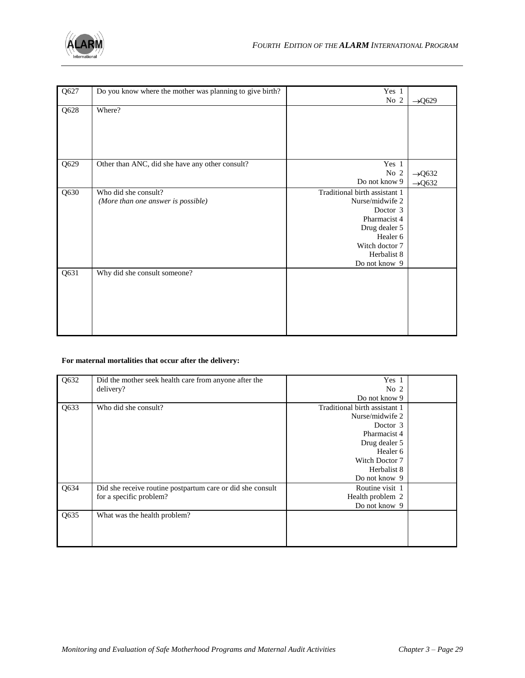

| Q627 | Do you know where the mother was planning to give birth? | Yes 1                         |                    |
|------|----------------------------------------------------------|-------------------------------|--------------------|
|      |                                                          | No 2                          | $\rightarrow$ Q629 |
| Q628 | Where?                                                   |                               |                    |
|      |                                                          |                               |                    |
|      |                                                          |                               |                    |
|      |                                                          |                               |                    |
|      |                                                          |                               |                    |
| Q629 | Other than ANC, did she have any other consult?          | Yes 1                         |                    |
|      |                                                          | No <sub>2</sub>               | $\rightarrow$ Q632 |
|      |                                                          | Do not know 9                 | $\rightarrow$ Q632 |
| Q630 | Who did she consult?                                     | Traditional birth assistant 1 |                    |
|      | (More than one answer is possible)                       | Nurse/midwife 2               |                    |
|      |                                                          | Doctor 3                      |                    |
|      |                                                          | Pharmacist 4                  |                    |
|      |                                                          | Drug dealer 5                 |                    |
|      |                                                          | Healer <sub>6</sub>           |                    |
|      |                                                          | Witch doctor 7                |                    |
|      |                                                          | Herbalist 8                   |                    |
|      |                                                          | Do not know 9                 |                    |
| Q631 | Why did she consult someone?                             |                               |                    |
|      |                                                          |                               |                    |
|      |                                                          |                               |                    |
|      |                                                          |                               |                    |
|      |                                                          |                               |                    |
|      |                                                          |                               |                    |
|      |                                                          |                               |                    |

#### **For maternal mortalities that occur after the delivery:**

| Q632 | Did the mother seek health care from anyone after the      | Yes 1                         |  |
|------|------------------------------------------------------------|-------------------------------|--|
|      | delivery?                                                  | No <sub>2</sub>               |  |
|      |                                                            | Do not know 9                 |  |
| Q633 | Who did she consult?                                       | Traditional birth assistant 1 |  |
|      |                                                            | Nurse/midwife 2               |  |
|      |                                                            | Doctor 3                      |  |
|      |                                                            | Pharmacist 4                  |  |
|      |                                                            | Drug dealer 5                 |  |
|      |                                                            | Healer <sub>6</sub>           |  |
|      |                                                            | Witch Doctor 7                |  |
|      |                                                            | Herbalist 8                   |  |
|      |                                                            | Do not know 9                 |  |
| Q634 | Did she receive routine postpartum care or did she consult | Routine visit 1               |  |
|      | for a specific problem?                                    | Health problem 2              |  |
|      |                                                            | Do not know 9                 |  |
| Q635 | What was the health problem?                               |                               |  |
|      |                                                            |                               |  |
|      |                                                            |                               |  |
|      |                                                            |                               |  |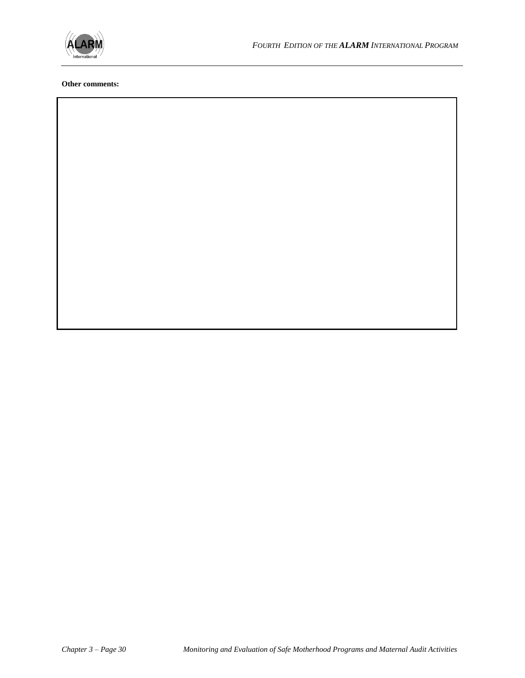

#### **Other comments:**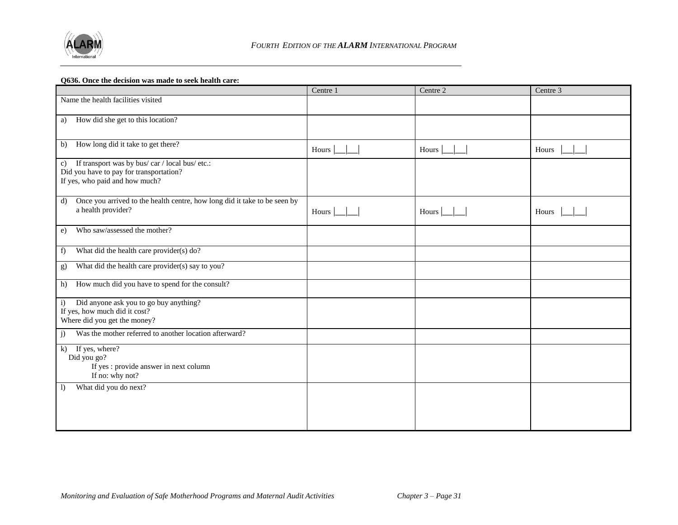

#### **Q636. Once the decision was made to seek health care:**

|                                                                                                                                             | Centre 1      | Centre 2 | Centre 3 |
|---------------------------------------------------------------------------------------------------------------------------------------------|---------------|----------|----------|
| Name the health facilities visited                                                                                                          |               |          |          |
| How did she get to this location?<br>a)                                                                                                     |               |          |          |
| How long did it take to get there?<br>b)                                                                                                    | Hours         | Hours    | Hours    |
| If transport was by bus/car / local bus/etc.:<br>$\mathbf{c})$<br>Did you have to pay for transportation?<br>If yes, who paid and how much? |               |          |          |
| Once you arrived to the health centre, how long did it take to be seen by<br>d)<br>a health provider?                                       | Hours $\vert$ | Hours    | Hours    |
| Who saw/assessed the mother?<br>e)                                                                                                          |               |          |          |
| What did the health care provider(s) do?<br>f)                                                                                              |               |          |          |
| What did the health care provider(s) say to you?<br>g)                                                                                      |               |          |          |
| How much did you have to spend for the consult?<br>h)                                                                                       |               |          |          |
| Did anyone ask you to go buy anything?<br>$\mathbf{i}$<br>If yes, how much did it cost?<br>Where did you get the money?                     |               |          |          |
| Was the mother referred to another location afterward?<br>j)                                                                                |               |          |          |
| If yes, where?<br>$\mathbf{k}$<br>Did you go?<br>If yes : provide answer in next column<br>If no: why not?                                  |               |          |          |
| What did you do next?<br>$\left  \right $                                                                                                   |               |          |          |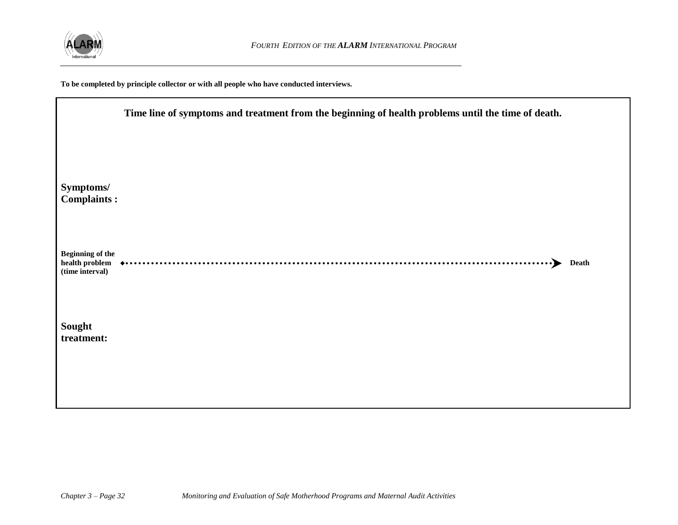

**To be completed by principle collector or with all people who have conducted interviews.**

|                                                              | Time line of symptoms and treatment from the beginning of health problems until the time of death. |  |  |
|--------------------------------------------------------------|----------------------------------------------------------------------------------------------------|--|--|
|                                                              |                                                                                                    |  |  |
| Symptoms/<br><b>Complaints:</b>                              |                                                                                                    |  |  |
| <b>Beginning of the</b><br>health problem<br>(time interval) | <b>Death</b><br>$\cdot$ $\blacktriangleright$                                                      |  |  |
| Sought<br>treatment:                                         |                                                                                                    |  |  |
|                                                              |                                                                                                    |  |  |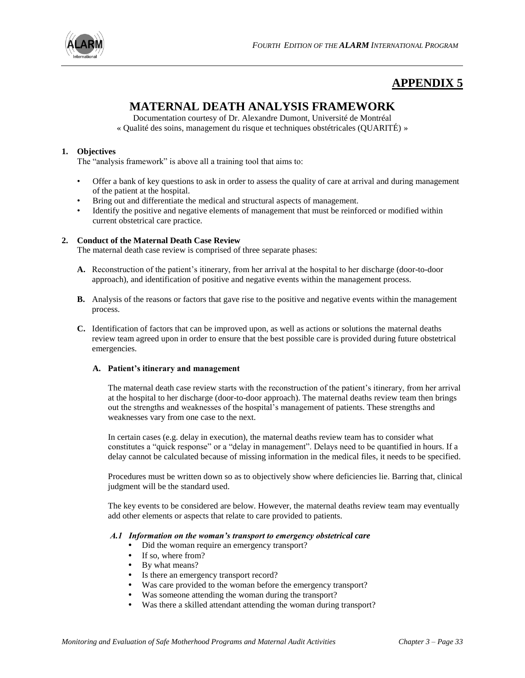

# **APPENDIX 5**

# **MATERNAL DEATH ANALYSIS FRAMEWORK**

Documentation courtesy of Dr. Alexandre Dumont, Université de Montréal « Qualité des soins, management du risque et techniques obstétricales (QUARITÉ) »

#### **1. Objectives**

The "analysis framework" is above all a training tool that aims to:

- Offer a bank of key questions to ask in order to assess the quality of care at arrival and during management of the patient at the hospital.
- Bring out and differentiate the medical and structural aspects of management.
- Identify the positive and negative elements of management that must be reinforced or modified within current obstetrical care practice.

#### **2. Conduct of the Maternal Death Case Review**

The maternal death case review is comprised of three separate phases:

- **A.** Reconstruction of the patient's itinerary, from her arrival at the hospital to her discharge (door-to-door approach), and identification of positive and negative events within the management process.
- **B.** Analysis of the reasons or factors that gave rise to the positive and negative events within the management process.
- **C.** Identification of factors that can be improved upon, as well as actions or solutions the maternal deaths review team agreed upon in order to ensure that the best possible care is provided during future obstetrical emergencies.

#### **A. Patient's itinerary and management**

The maternal death case review starts with the reconstruction of the patient's itinerary, from her arrival at the hospital to her discharge (door-to-door approach). The maternal deaths review team then brings out the strengths and weaknesses of the hospital's management of patients. These strengths and weaknesses vary from one case to the next.

In certain cases (e.g. delay in execution), the maternal deaths review team has to consider what constitutes a "quick response" or a "delay in management". Delays need to be quantified in hours. If a delay cannot be calculated because of missing information in the medical files, it needs to be specified.

Procedures must be written down so as to objectively show where deficiencies lie. Barring that, clinical judgment will be the standard used.

The key events to be considered are below. However, the maternal deaths review team may eventually add other elements or aspects that relate to care provided to patients.

#### *A.1 Information on the woman's transport to emergency obstetrical care*

- **•** Did the woman require an emergency transport?
- **•** If so, where from?
- **•** By what means?
- **•** Is there an emergency transport record?
- **•** Was care provided to the woman before the emergency transport?
- **•** Was someone attending the woman during the transport?
- **•** Was there a skilled attendant attending the woman during transport?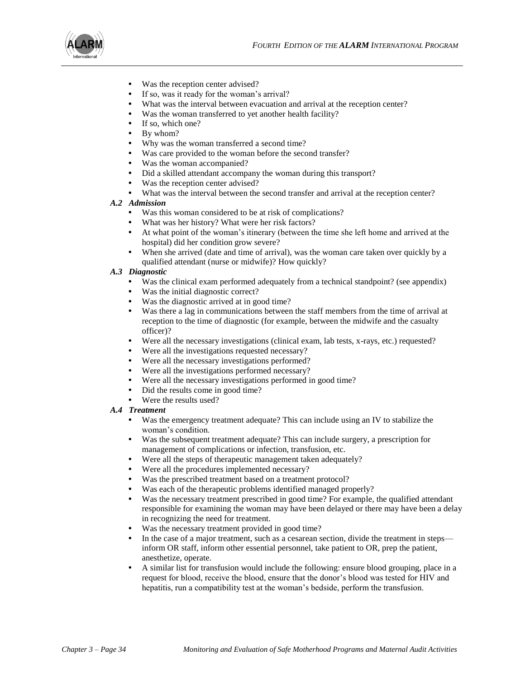

- **•** Was the reception center advised?
- If so, was it ready for the woman's arrival?
- What was the interval between evacuation and arrival at the reception center?
- Was the woman transferred to yet another health facility?
- **•** If so, which one?
- **•** By whom?
- Why was the woman transferred a second time?
- Was care provided to the woman before the second transfer?
- **•** Was the woman accompanied?
- **•** Did a skilled attendant accompany the woman during this transport?
- **•** Was the reception center advised?
- What was the interval between the second transfer and arrival at the reception center?

#### *A.2 Admission*

- **•** Was this woman considered to be at risk of complications?
- **•** What was her history? What were her risk factors?
- **•** At what point of the woman's itinerary (between the time she left home and arrived at the hospital) did her condition grow severe?
- **•** When she arrived (date and time of arrival), was the woman care taken over quickly by a qualified attendant (nurse or midwife)? How quickly?

#### *A.3 Diagnostic*

- Was the clinical exam performed adequately from a technical standpoint? (see appendix)
- **•** Was the initial diagnostic correct?
- **•** Was the diagnostic arrived at in good time?
- **•** Was there a lag in communications between the staff members from the time of arrival at reception to the time of diagnostic (for example, between the midwife and the casualty officer)?
- **•** Were all the necessary investigations (clinical exam, lab tests, x-rays, etc.) requested?
- **•** Were all the investigations requested necessary?
- **•** Were all the necessary investigations performed?
- **•** Were all the investigations performed necessary?
- **•** Were all the necessary investigations performed in good time?
- **•** Did the results come in good time?
- **•** Were the results used?

#### *A.4 Treatment*

- Was the emergency treatment adequate? This can include using an IV to stabilize the woman's condition.
- **•** Was the subsequent treatment adequate? This can include surgery, a prescription for management of complications or infection, transfusion, etc.
- **•** Were all the steps of therapeutic management taken adequately?
- **•** Were all the procedures implemented necessary?
- **•** Was the prescribed treatment based on a treatment protocol?
- **•** Was each of the therapeutic problems identified managed properly?
- **•** Was the necessary treatment prescribed in good time? For example, the qualified attendant responsible for examining the woman may have been delayed or there may have been a delay in recognizing the need for treatment.
- **•** Was the necessary treatment provided in good time?
- In the case of a major treatment, such as a cesarean section, divide the treatment in steps inform OR staff, inform other essential personnel, take patient to OR, prep the patient, anesthetize, operate.
- **•** A similar list for transfusion would include the following: ensure blood grouping, place in a request for blood, receive the blood, ensure that the donor's blood was tested for HIV and hepatitis, run a compatibility test at the woman's bedside, perform the transfusion.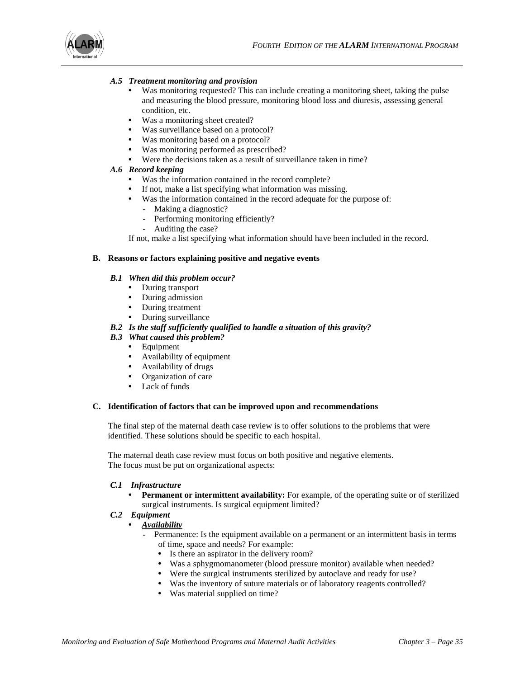

#### *A.5 Treatment monitoring and provision*

- **•** Was monitoring requested? This can include creating a monitoring sheet, taking the pulse and measuring the blood pressure, monitoring blood loss and diuresis, assessing general condition, etc.
- **•** Was a monitoring sheet created?
- Was surveillance based on a protocol?
- **•** Was monitoring based on a protocol?
- Was monitoring performed as prescribed?<br>• Were the decisions taken as a result of sur-
- **•** Were the decisions taken as a result of surveillance taken in time?

#### *A.6 Record keeping*

- **•** Was the information contained in the record complete?
- **•** If not, make a list specifying what information was missing.
- **•** Was the information contained in the record adequate for the purpose of:
	- **-** Making a diagnostic?
	- **-** Performing monitoring efficiently?
	- **-** Auditing the case?

If not, make a list specifying what information should have been included in the record.

#### **B. Reasons or factors explaining positive and negative events**

#### *B.1 When did this problem occur?*

- **•** During transport
- **•** During admission
- **•** During treatment
- **•** During surveillance

#### *B.2 Is the staff sufficiently qualified to handle a situation of this gravity?*

- *B.3 What caused this problem?* 
	- **•** Equipment
	- **•** Availability of equipment
	- **•** Availability of drugs
	- **•** Organization of care
	- **•** Lack of funds

#### **C. Identification of factors that can be improved upon and recommendations**

The final step of the maternal death case review is to offer solutions to the problems that were identified. These solutions should be specific to each hospital.

The maternal death case review must focus on both positive and negative elements. The focus must be put on organizational aspects:

#### *C.1 Infrastructure*

**Permanent or intermittent availability:** For example, of the operating suite or of sterilized surgical instruments. Is surgical equipment limited?

#### *C.2 Equipment*

- **•** *Availability*
	- **-** Permanence: Is the equipment available on a permanent or an intermittent basis in terms of time, space and needs? For example:
		- **•** Is there an aspirator in the delivery room?
		- **•** Was a sphygmomanometer (blood pressure monitor) available when needed?
		- Were the surgical instruments sterilized by autoclave and ready for use?
		- **•** Was the inventory of suture materials or of laboratory reagents controlled?
		- **•** Was material supplied on time?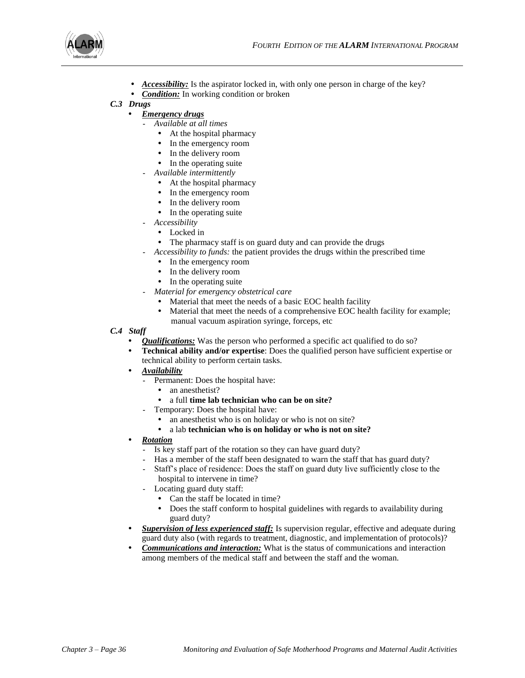

- **•** *Accessibility:* Is the aspirator locked in, with only one person in charge of the key?
- **•** *Condition:* In working condition or broken

#### *C.3 Drugs*

- **•** *Emergency drugs*
	- **-** *Available at all times*
		- **•** At the hospital pharmacy
		- In the emergency room
		- In the delivery room
		- In the operating suite
	- **-** *Available intermittently*
		- **•** At the hospital pharmacy
		- In the emergency room
		- **•** In the delivery room
		- **•** In the operating suite
	- **-** *Accessibility*
		- **•** Locked in
		- **•** The pharmacy staff is on guard duty and can provide the drugs
	- **-** *Accessibility to funds:* the patient provides the drugs within the prescribed time
		- In the emergency room
		- In the delivery room
		- In the operating suite
	- **-** *Material for emergency obstetrical care*
		- **•** Material that meet the needs of a basic EOC health facility
		- Material that meet the needs of a comprehensive EOC health facility for example; manual vacuum aspiration syringe, forceps, etc
- *C.4 Staff*
	- **•** *Qualifications:* Was the person who performed a specific act qualified to do so?
	- **• Technical ability and/or expertise**: Does the qualified person have sufficient expertise or technical ability to perform certain tasks.
	- **•** *Availability*
		- **-** Permanent: Does the hospital have:
			- **•** an anesthetist?
			- **•** a full **time lab technician who can be on site?**
		- **-** Temporary: Does the hospital have:
			- **•** an anesthetist who is on holiday or who is not on site?
			- **•** a lab **technician who is on holiday or who is not on site?**
	- **•** *Rotation*
		- **-** Is key staff part of the rotation so they can have guard duty?
		- **-** Has a member of the staff been designated to warn the staff that has guard duty?
		- **-** Staff's place of residence: Does the staff on guard duty live sufficiently close to the hospital to intervene in time?
		- **-** Locating guard duty staff:
			- **•** Can the staff be located in time?
			- **•** Does the staff conform to hospital guidelines with regards to availability during guard duty?
	- **•** *Supervision of less experienced staff:* Is supervision regular, effective and adequate during guard duty also (with regards to treatment, diagnostic, and implementation of protocols)?
	- **•** *Communications and interaction:* What is the status of communications and interaction among members of the medical staff and between the staff and the woman.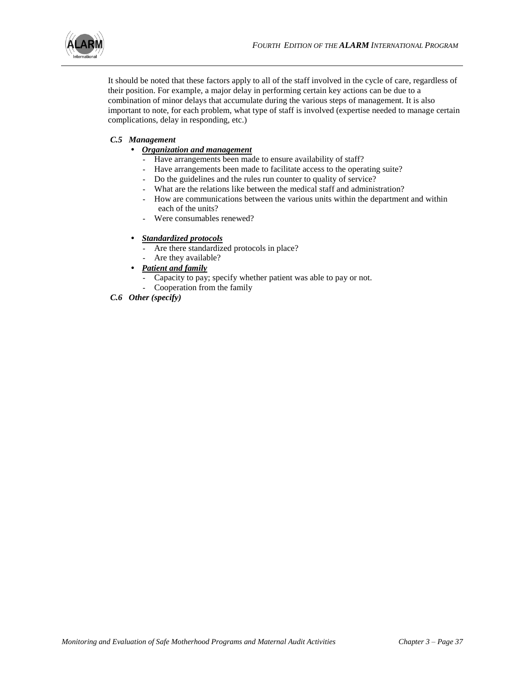

It should be noted that these factors apply to all of the staff involved in the cycle of care, regardless of their position. For example, a major delay in performing certain key actions can be due to a combination of minor delays that accumulate during the various steps of management. It is also important to note, for each problem, what type of staff is involved (expertise needed to manage certain complications, delay in responding, etc.)

### *C.5 Management*

- **•** *Organization and management*
	- **-** Have arrangements been made to ensure availability of staff?
	- **-** Have arrangements been made to facilitate access to the operating suite?
	- **-** Do the guidelines and the rules run counter to quality of service?
	- **-** What are the relations like between the medical staff and administration?
	- **-** How are communications between the various units within the department and within each of the units?
	- **-** Were consumables renewed?

#### **•** *Standardized protocols*

- **-** Are there standardized protocols in place?
- **-** Are they available?

#### **•** *Patient and family*

- **-** Capacity to pay; specify whether patient was able to pay or not.
- **-** Cooperation from the family
- *C.6 Other (specify)*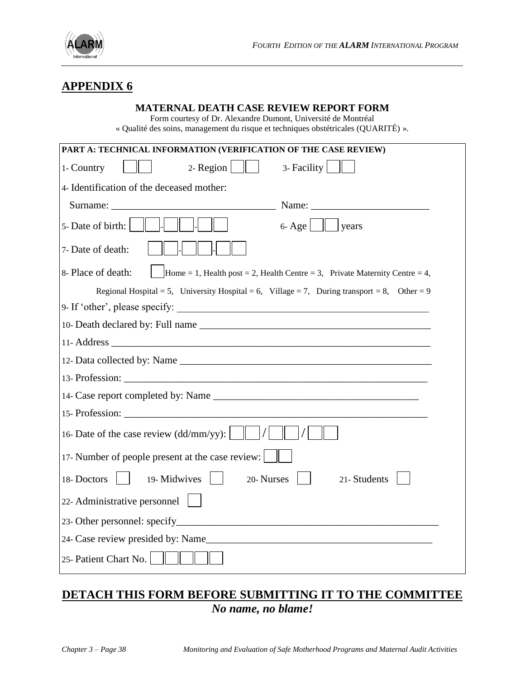

# **APPENDIX 6**

### **MATERNAL DEATH CASE REVIEW REPORT FORM**

Form courtesy of Dr. Alexandre Dumont, Université de Montréal « Qualité des soins, management du risque et techniques obstétricales (QUARITÉ) ».

| PART A: TECHNICAL INFORMATION (VERIFICATION OF THE CASE REVIEW)                                   |  |  |  |  |  |
|---------------------------------------------------------------------------------------------------|--|--|--|--|--|
| 2- Region $\ \ $<br>3- Facility<br>1- Country                                                     |  |  |  |  |  |
| 4- Identification of the deceased mother:                                                         |  |  |  |  |  |
|                                                                                                   |  |  |  |  |  |
| 5- Date of birth:<br>$\ $   years<br>$6 - Age$                                                    |  |  |  |  |  |
| 7- Date of death:                                                                                 |  |  |  |  |  |
| 8- Place of death:<br>Home = 1, Health post = 2, Health Centre = 3, Private Maternity Centre = 4, |  |  |  |  |  |
| Regional Hospital = 5, University Hospital = 6, Village = 7, During transport = 8, Other = 9      |  |  |  |  |  |
| 9- If 'other', please specify:                                                                    |  |  |  |  |  |
|                                                                                                   |  |  |  |  |  |
|                                                                                                   |  |  |  |  |  |
|                                                                                                   |  |  |  |  |  |
| 13-Profession:                                                                                    |  |  |  |  |  |
|                                                                                                   |  |  |  |  |  |
| 15-Profession:                                                                                    |  |  |  |  |  |
| 16- Date of the case review $(dd/mm/yy)$ :                                                        |  |  |  |  |  |
| 17- Number of people present at the case review:                                                  |  |  |  |  |  |
| 19-Midwives<br>20- Nurses<br>21- Students<br>18-Doctors                                           |  |  |  |  |  |
| 22- Administrative personnel                                                                      |  |  |  |  |  |
|                                                                                                   |  |  |  |  |  |
| 24- Case review presided by: Name                                                                 |  |  |  |  |  |
| 25- Patient Chart No.                                                                             |  |  |  |  |  |

# **DETACH THIS FORM BEFORE SUBMITTING IT TO THE COMMITTEE** *No name, no blame!*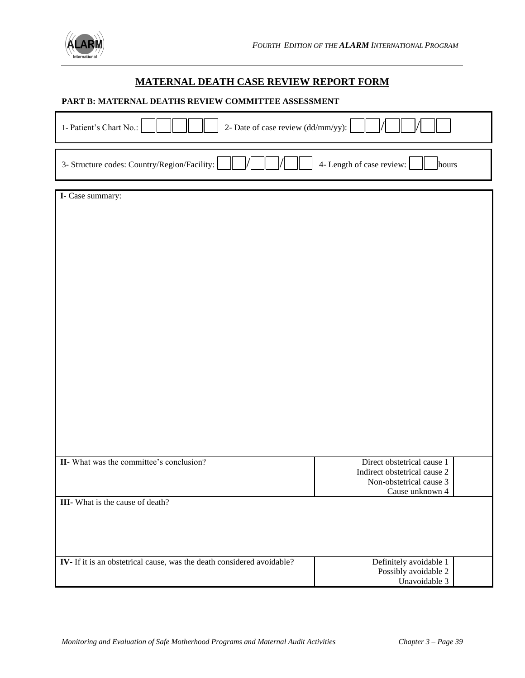

### **MATERNAL DEATH CASE REVIEW REPORT FORM**

### **PART B: MATERNAL DEATHS REVIEW COMMITTEE ASSESSMENT**

| 1- Patient's Chart No.:<br>2- Date of case review (dd/mm/yy):          |                                                            |  |  |  |  |
|------------------------------------------------------------------------|------------------------------------------------------------|--|--|--|--|
| 3- Structure codes: Country/Region/Facility:                           | 4- Length of case review:<br>hours                         |  |  |  |  |
| I- Case summary:                                                       |                                                            |  |  |  |  |
|                                                                        |                                                            |  |  |  |  |
|                                                                        |                                                            |  |  |  |  |
|                                                                        |                                                            |  |  |  |  |
|                                                                        |                                                            |  |  |  |  |
|                                                                        |                                                            |  |  |  |  |
|                                                                        |                                                            |  |  |  |  |
|                                                                        |                                                            |  |  |  |  |
|                                                                        |                                                            |  |  |  |  |
|                                                                        |                                                            |  |  |  |  |
|                                                                        |                                                            |  |  |  |  |
|                                                                        |                                                            |  |  |  |  |
|                                                                        |                                                            |  |  |  |  |
|                                                                        |                                                            |  |  |  |  |
|                                                                        |                                                            |  |  |  |  |
|                                                                        |                                                            |  |  |  |  |
| II- What was the committee's conclusion?                               | Direct obstetrical cause 1<br>Indirect obstetrical cause 2 |  |  |  |  |
|                                                                        | Non-obstetrical cause 3                                    |  |  |  |  |
| <b>III</b> - What is the cause of death?                               | Cause unknown 4                                            |  |  |  |  |
|                                                                        |                                                            |  |  |  |  |
|                                                                        |                                                            |  |  |  |  |
|                                                                        |                                                            |  |  |  |  |
| IV- If it is an obstetrical cause, was the death considered avoidable? | Definitely avoidable 1<br>Possibly avoidable 2             |  |  |  |  |
|                                                                        | Unavoidable 3                                              |  |  |  |  |